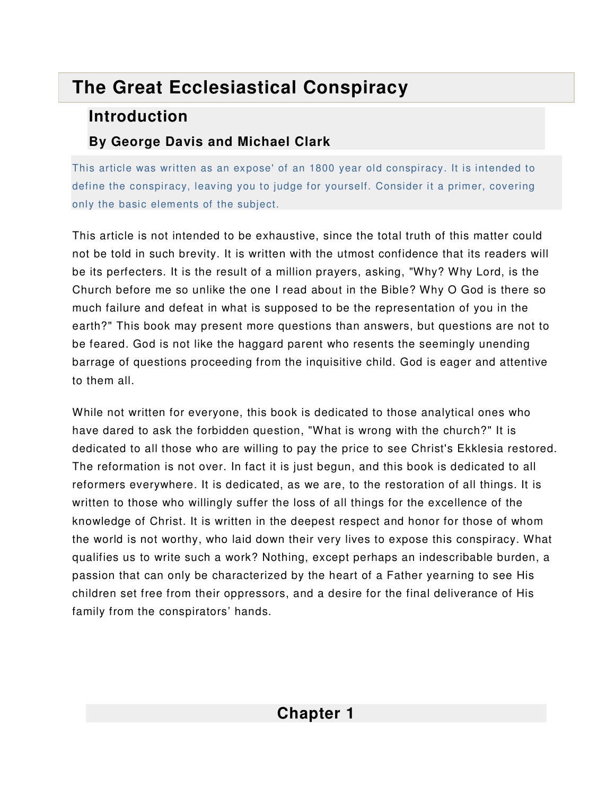# **The Great Ecclesiastical Conspiracy**

## **Introduction**

## **By George Davis and Michael Clark**

This article was written as an expose' of an 1800 year old conspiracy. It is intended to define the conspiracy, leaving you to judge for yourself. Consider it a primer, covering only the basic elements of the subject.

This article is not intended to be exhaustive, since the total truth of this matter could not be told in such brevity. It is written with the utmost confidence that its readers will be its perfecters. It is the result of a million prayers, asking, "Why? Why Lord, is the Church before me so unlike the one I read about in the Bible? Why O God is there so much failure and defeat in what is supposed to be the representation of you in the earth?" This book may present more questions than answers, but questions are not to be feared. God is not like the haggard parent who resents the seemingly unending barrage of questions proceeding from the inquisitive child. God is eager and attentive to them all.

While not written for everyone, this book is dedicated to those analytical ones who have dared to ask the forbidden question, "What is wrong with the church?" It is dedicated to all those who are willing to pay the price to see Christ's Ekklesia restored. The reformation is not over. In fact it is just begun, and this book is dedicated to all reformers everywhere. It is dedicated, as we are, to the restoration of all things. It is written to those who willingly suffer the loss of all things for the excellence of the knowledge of Christ. It is written in the deepest respect and honor for those of whom the world is not worthy, who laid down their very lives to expose this conspiracy. What qualifies us to write such a work? Nothing, except perhaps an indescribable burden, a passion that can only be characterized by the heart of a Father yearning to see His children set free from their oppressors, and a desire for the final deliverance of His family from the conspirators' hands.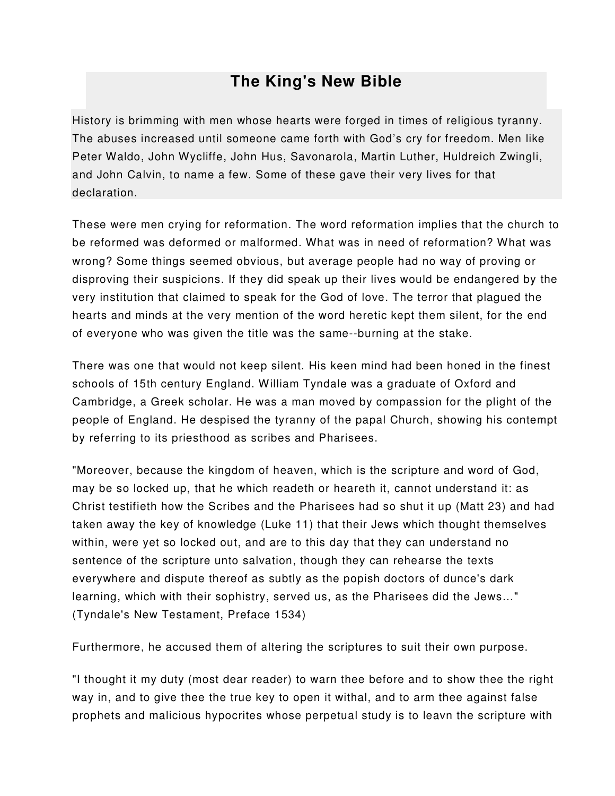## **The King's New Bible**

History is brimming with men whose hearts were forged in times of religious tyranny. The abuses increased until someone came forth with God's cry for freedom. Men like Peter Waldo, John Wycliffe, John Hus, Savonarola, Martin Luther, Huldreich Zwingli, and John Calvin, to name a few. Some of these gave their very lives for that declaration.

These were men crying for reformation. The word reformation implies that the church to be reformed was deformed or malformed. What was in need of reformation? What was wrong? Some things seemed obvious, but average people had no way of proving or disproving their suspicions. If they did speak up their lives would be endangered by the very institution that claimed to speak for the God of love. The terror that plagued the hearts and minds at the very mention of the word heretic kept them silent, for the end of everyone who was given the title was the same--burning at the stake.

There was one that would not keep silent. His keen mind had been honed in the finest schools of 15th century England. William Tyndale was a graduate of Oxford and Cambridge, a Greek scholar. He was a man moved by compassion for the plight of the people of England. He despised the tyranny of the papal Church, showing his contempt by referring to its priesthood as scribes and Pharisees.

"Moreover, because the kingdom of heaven, which is the scripture and word of God, may be so locked up, that he which readeth or heareth it, cannot understand it: as Christ testifieth how the Scribes and the Pharisees had so shut it up (Matt 23) and had taken away the key of knowledge (Luke 11) that their Jews which thought themselves within, were yet so locked out, and are to this day that they can understand no sentence of the scripture unto salvation, though they can rehearse the texts everywhere and dispute thereof as subtly as the popish doctors of dunce's dark learning, which with their sophistry, served us, as the Pharisees did the Jews…" (Tyndale's New Testament, Preface 1534)

Furthermore, he accused them of altering the scriptures to suit their own purpose.

"I thought it my duty (most dear reader) to warn thee before and to show thee the right way in, and to give thee the true key to open it withal, and to arm thee against false prophets and malicious hypocrites whose perpetual study is to leavn the scripture with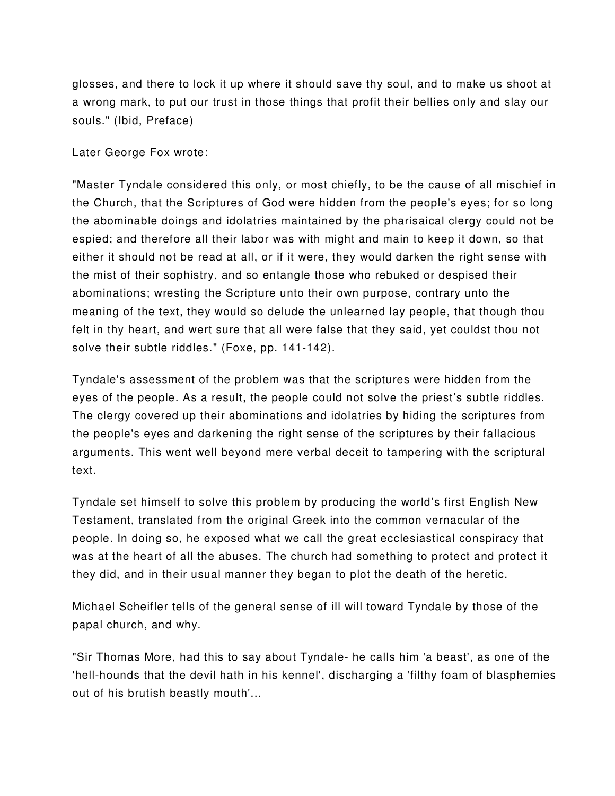glosses, and there to lock it up where it should save thy soul, and to make us shoot at a wrong mark, to put our trust in those things that profit their bellies only and slay our souls." (Ibid, Preface)

Later George Fox wrote:

"Master Tyndale considered this only, or most chiefly, to be the cause of all mischief in the Church, that the Scriptures of God were hidden from the people's eyes; for so long the abominable doings and idolatries maintained by the pharisaical clergy could not be espied; and therefore all their labor was with might and main to keep it down, so that either it should not be read at all, or if it were, they would darken the right sense with the mist of their sophistry, and so entangle those who rebuked or despised their abominations; wresting the Scripture unto their own purpose, contrary unto the meaning of the text, they would so delude the unlearned lay people, that though thou felt in thy heart, and wert sure that all were false that they said, yet couldst thou not solve their subtle riddles." (Foxe, pp. 141-142).

Tyndale's assessment of the problem was that the scriptures were hidden from the eyes of the people. As a result, the people could not solve the priest's subtle riddles. The clergy covered up their abominations and idolatries by hiding the scriptures from the people's eyes and darkening the right sense of the scriptures by their fallacious arguments. This went well beyond mere verbal deceit to tampering with the scriptural text.

Tyndale set himself to solve this problem by producing the world's first English New Testament, translated from the original Greek into the common vernacular of the people. In doing so, he exposed what we call the great ecclesiastical conspiracy that was at the heart of all the abuses. The church had something to protect and protect it they did, and in their usual manner they began to plot the death of the heretic.

Michael Scheifler tells of the general sense of ill will toward Tyndale by those of the papal church, and why.

"Sir Thomas More, had this to say about Tyndale- he calls him 'a beast', as one of the 'hell-hounds that the devil hath in his kennel', discharging a 'filthy foam of blasphemies out of his brutish beastly mouth'...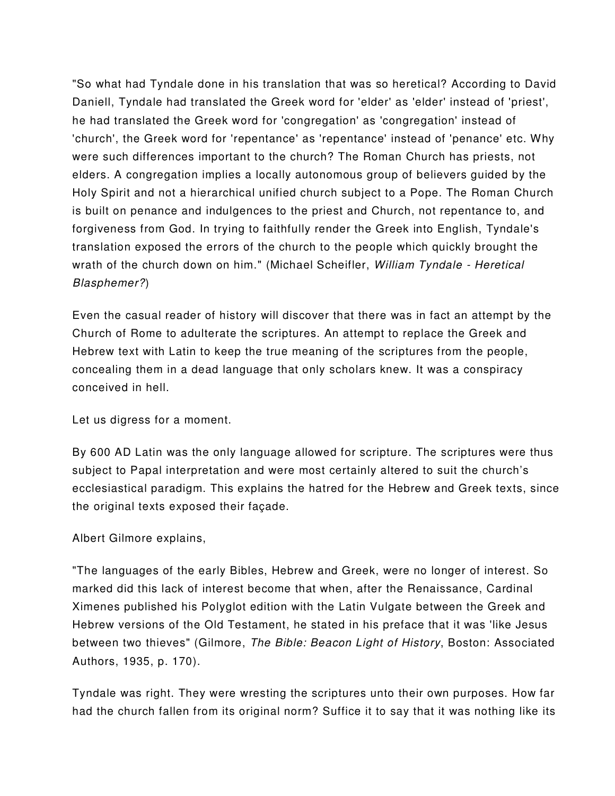"So what had Tyndale done in his translation that was so heretical? According to David Daniell, Tyndale had translated the Greek word for 'elder' as 'elder' instead of 'priest', he had translated the Greek word for 'congregation' as 'congregation' instead of 'church', the Greek word for 'repentance' as 'repentance' instead of 'penance' etc. Why were such differences important to the church? The Roman Church has priests, not elders. A congregation implies a locally autonomous group of believers guided by the Holy Spirit and not a hierarchical unified church subject to a Pope. The Roman Church is built on penance and indulgences to the priest and Church, not repentance to, and forgiveness from God. In trying to faithfully render the Greek into English, Tyndale's translation exposed the errors of the church to the people which quickly brought the wrath of the church down on him." (Michael Scheifler, William Tyndale - Heretical Blasphemer?)

Even the casual reader of history will discover that there was in fact an attempt by the Church of Rome to adulterate the scriptures. An attempt to replace the Greek and Hebrew text with Latin to keep the true meaning of the scriptures from the people, concealing them in a dead language that only scholars knew. It was a conspiracy conceived in hell.

Let us digress for a moment.

By 600 AD Latin was the only language allowed for scripture. The scriptures were thus subject to Papal interpretation and were most certainly altered to suit the church's ecclesiastical paradigm. This explains the hatred for the Hebrew and Greek texts, since the original texts exposed their façade.

## Albert Gilmore explains,

"The languages of the early Bibles, Hebrew and Greek, were no longer of interest. So marked did this lack of interest become that when, after the Renaissance, Cardinal Ximenes published his Polyglot edition with the Latin Vulgate between the Greek and Hebrew versions of the Old Testament, he stated in his preface that it was 'like Jesus between two thieves" (Gilmore, The Bible: Beacon Light of History, Boston: Associated Authors, 1935, p. 170).

Tyndale was right. They were wresting the scriptures unto their own purposes. How far had the church fallen from its original norm? Suffice it to say that it was nothing like its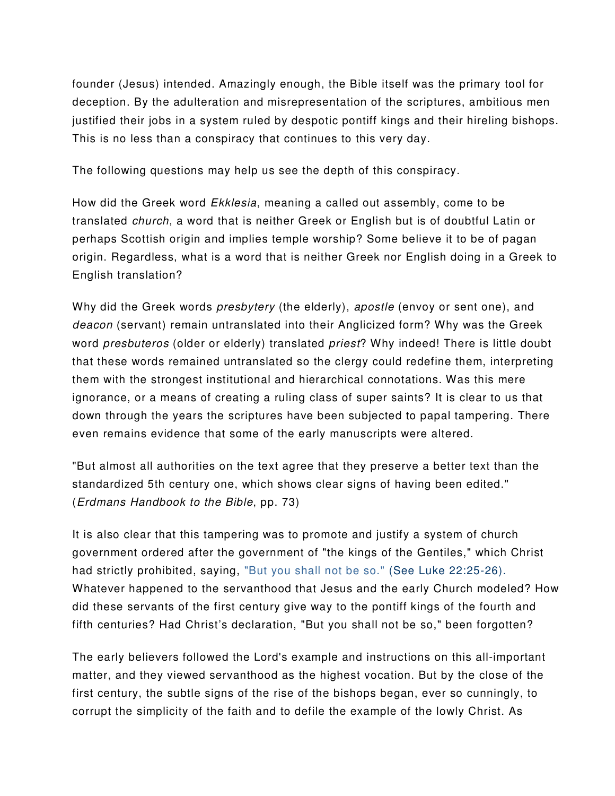founder (Jesus) intended. Amazingly enough, the Bible itself was the primary tool for deception. By the adulteration and misrepresentation of the scriptures, ambitious men justified their jobs in a system ruled by despotic pontiff kings and their hireling bishops. This is no less than a conspiracy that continues to this very day.

The following questions may help us see the depth of this conspiracy.

How did the Greek word Ekklesia, meaning a called out assembly, come to be translated church, a word that is neither Greek or English but is of doubtful Latin or perhaps Scottish origin and implies temple worship? Some believe it to be of pagan origin. Regardless, what is a word that is neither Greek nor English doing in a Greek to English translation?

Why did the Greek words *presbytery* (the elderly), apostle (envoy or sent one), and deacon (servant) remain untranslated into their Anglicized form? Why was the Greek word presbuteros (older or elderly) translated priest? Why indeed! There is little doubt that these words remained untranslated so the clergy could redefine them, interpreting them with the strongest institutional and hierarchical connotations. Was this mere ignorance, or a means of creating a ruling class of super saints? It is clear to us that down through the years the scriptures have been subjected to papal tampering. There even remains evidence that some of the early manuscripts were altered.

"But almost all authorities on the text agree that they preserve a better text than the standardized 5th century one, which shows clear signs of having been edited." (Erdmans Handbook to the Bible, pp. 73)

It is also clear that this tampering was to promote and justify a system of church government ordered after the government of "the kings of the Gentiles," which Christ had strictly prohibited, saying, "But you shall not be so." (See Luke 22:25-26). Whatever happened to the servanthood that Jesus and the early Church modeled? How did these servants of the first century give way to the pontiff kings of the fourth and fifth centuries? Had Christ's declaration, "But you shall not be so," been forgotten?

The early believers followed the Lord's example and instructions on this all-important matter, and they viewed servanthood as the highest vocation. But by the close of the first century, the subtle signs of the rise of the bishops began, ever so cunningly, to corrupt the simplicity of the faith and to defile the example of the lowly Christ. As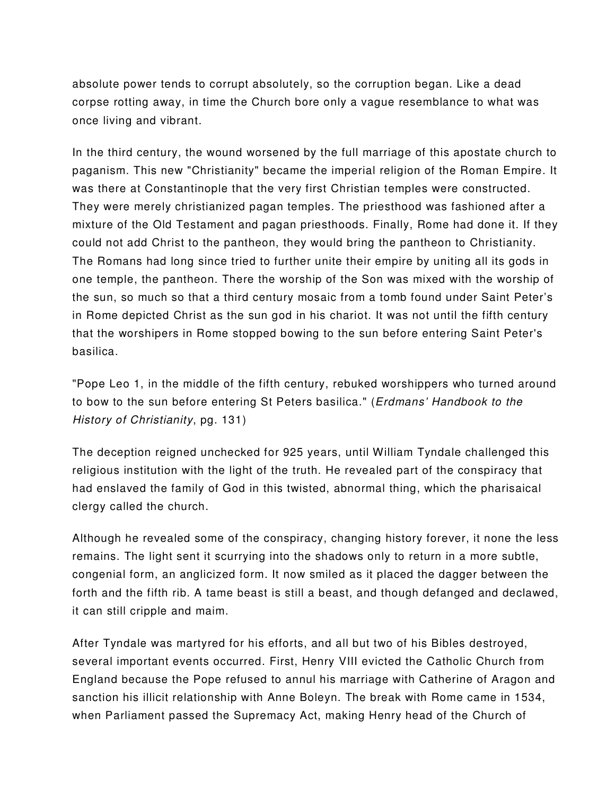absolute power tends to corrupt absolutely, so the corruption began. Like a dead corpse rotting away, in time the Church bore only a vague resemblance to what was once living and vibrant.

In the third century, the wound worsened by the full marriage of this apostate church to paganism. This new "Christianity" became the imperial religion of the Roman Empire. It was there at Constantinople that the very first Christian temples were constructed. They were merely christianized pagan temples. The priesthood was fashioned after a mixture of the Old Testament and pagan priesthoods. Finally, Rome had done it. If they could not add Christ to the pantheon, they would bring the pantheon to Christianity. The Romans had long since tried to further unite their empire by uniting all its gods in one temple, the pantheon. There the worship of the Son was mixed with the worship of the sun, so much so that a third century mosaic from a tomb found under Saint Peter's in Rome depicted Christ as the sun god in his chariot. It was not until the fifth century that the worshipers in Rome stopped bowing to the sun before entering Saint Peter's basilica.

"Pope Leo 1, in the middle of the fifth century, rebuked worshippers who turned around to bow to the sun before entering St Peters basilica." (Erdmans' Handbook to the History of Christianity, pg. 131)

The deception reigned unchecked for 925 years, until William Tyndale challenged this religious institution with the light of the truth. He revealed part of the conspiracy that had enslaved the family of God in this twisted, abnormal thing, which the pharisaical clergy called the church.

Although he revealed some of the conspiracy, changing history forever, it none the less remains. The light sent it scurrying into the shadows only to return in a more subtle, congenial form, an anglicized form. It now smiled as it placed the dagger between the forth and the fifth rib. A tame beast is still a beast, and though defanged and declawed, it can still cripple and maim.

After Tyndale was martyred for his efforts, and all but two of his Bibles destroyed, several important events occurred. First, Henry VIII evicted the Catholic Church from England because the Pope refused to annul his marriage with Catherine of Aragon and sanction his illicit relationship with Anne Boleyn. The break with Rome came in 1534, when Parliament passed the Supremacy Act, making Henry head of the Church of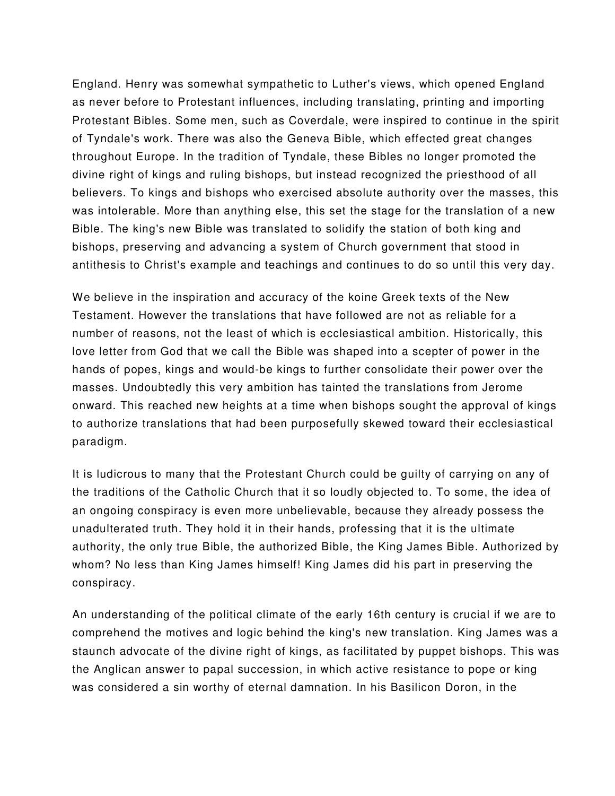England. Henry was somewhat sympathetic to Luther's views, which opened England as never before to Protestant influences, including translating, printing and importing Protestant Bibles. Some men, such as Coverdale, were inspired to continue in the spirit of Tyndale's work. There was also the Geneva Bible, which effected great changes throughout Europe. In the tradition of Tyndale, these Bibles no longer promoted the divine right of kings and ruling bishops, but instead recognized the priesthood of all believers. To kings and bishops who exercised absolute authority over the masses, this was intolerable. More than anything else, this set the stage for the translation of a new Bible. The king's new Bible was translated to solidify the station of both king and bishops, preserving and advancing a system of Church government that stood in antithesis to Christ's example and teachings and continues to do so until this very day.

We believe in the inspiration and accuracy of the koine Greek texts of the New Testament. However the translations that have followed are not as reliable for a number of reasons, not the least of which is ecclesiastical ambition. Historically, this love letter from God that we call the Bible was shaped into a scepter of power in the hands of popes, kings and would-be kings to further consolidate their power over the masses. Undoubtedly this very ambition has tainted the translations from Jerome onward. This reached new heights at a time when bishops sought the approval of kings to authorize translations that had been purposefully skewed toward their ecclesiastical paradigm.

It is ludicrous to many that the Protestant Church could be guilty of carrying on any of the traditions of the Catholic Church that it so loudly objected to. To some, the idea of an ongoing conspiracy is even more unbelievable, because they already possess the unadulterated truth. They hold it in their hands, professing that it is the ultimate authority, the only true Bible, the authorized Bible, the King James Bible. Authorized by whom? No less than King James himself! King James did his part in preserving the conspiracy.

An understanding of the political climate of the early 16th century is crucial if we are to comprehend the motives and logic behind the king's new translation. King James was a staunch advocate of the divine right of kings, as facilitated by puppet bishops. This was the Anglican answer to papal succession, in which active resistance to pope or king was considered a sin worthy of eternal damnation. In his Basilicon Doron, in the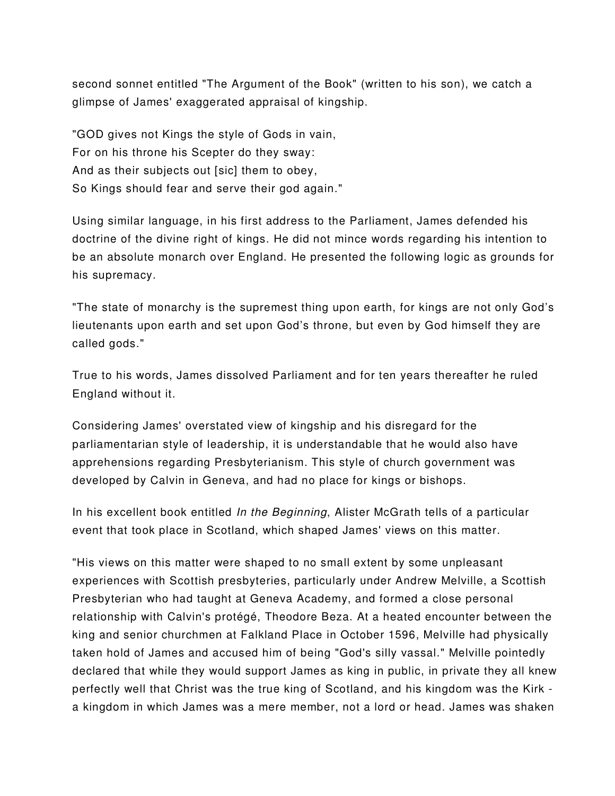second sonnet entitled "The Argument of the Book" (written to his son), we catch a glimpse of James' exaggerated appraisal of kingship.

"GOD gives not Kings the style of Gods in vain, For on his throne his Scepter do they sway: And as their subjects out [sic] them to obey, So Kings should fear and serve their god again."

Using similar language, in his first address to the Parliament, James defended his doctrine of the divine right of kings. He did not mince words regarding his intention to be an absolute monarch over England. He presented the following logic as grounds for his supremacy.

"The state of monarchy is the supremest thing upon earth, for kings are not only God's lieutenants upon earth and set upon God's throne, but even by God himself they are called gods."

True to his words, James dissolved Parliament and for ten years thereafter he ruled England without it.

Considering James' overstated view of kingship and his disregard for the parliamentarian style of leadership, it is understandable that he would also have apprehensions regarding Presbyterianism. This style of church government was developed by Calvin in Geneva, and had no place for kings or bishops.

In his excellent book entitled In the Beginning, Alister McGrath tells of a particular event that took place in Scotland, which shaped James' views on this matter.

"His views on this matter were shaped to no small extent by some unpleasant experiences with Scottish presbyteries, particularly under Andrew Melville, a Scottish Presbyterian who had taught at Geneva Academy, and formed a close personal relationship with Calvin's protégé, Theodore Beza. At a heated encounter between the king and senior churchmen at Falkland Place in October 1596, Melville had physically taken hold of James and accused him of being "God's silly vassal." Melville pointedly declared that while they would support James as king in public, in private they all knew perfectly well that Christ was the true king of Scotland, and his kingdom was the Kirk a kingdom in which James was a mere member, not a lord or head. James was shaken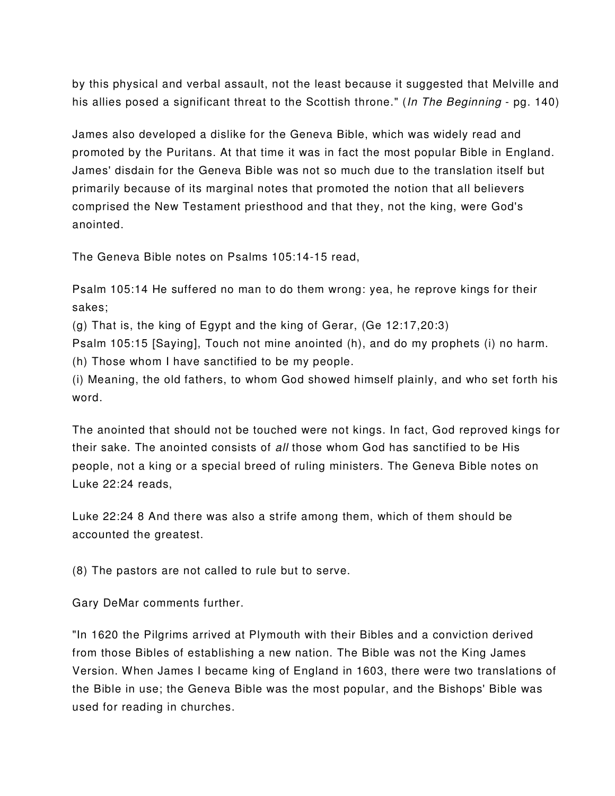by this physical and verbal assault, not the least because it suggested that Melville and his allies posed a significant threat to the Scottish throne." (In The Beginning - pg. 140)

James also developed a dislike for the Geneva Bible, which was widely read and promoted by the Puritans. At that time it was in fact the most popular Bible in England. James' disdain for the Geneva Bible was not so much due to the translation itself but primarily because of its marginal notes that promoted the notion that all believers comprised the New Testament priesthood and that they, not the king, were God's anointed.

The Geneva Bible notes on Psalms 105:14-15 read,

Psalm 105:14 He suffered no man to do them wrong: yea, he reprove kings for their sakes;

(g) That is, the king of Egypt and the king of Gerar, (Ge 12:17,20:3)

Psalm 105:15 [Saying], Touch not mine anointed (h), and do my prophets (i) no harm. (h) Those whom I have sanctified to be my people.

(i) Meaning, the old fathers, to whom God showed himself plainly, and who set forth his word.

The anointed that should not be touched were not kings. In fact, God reproved kings for their sake. The anointed consists of all those whom God has sanctified to be His people, not a king or a special breed of ruling ministers. The Geneva Bible notes on Luke 22:24 reads,

Luke 22:24 8 And there was also a strife among them, which of them should be accounted the greatest.

(8) The pastors are not called to rule but to serve.

Gary DeMar comments further.

"In 1620 the Pilgrims arrived at Plymouth with their Bibles and a conviction derived from those Bibles of establishing a new nation. The Bible was not the King James Version. When James I became king of England in 1603, there were two translations of the Bible in use; the Geneva Bible was the most popular, and the Bishops' Bible was used for reading in churches.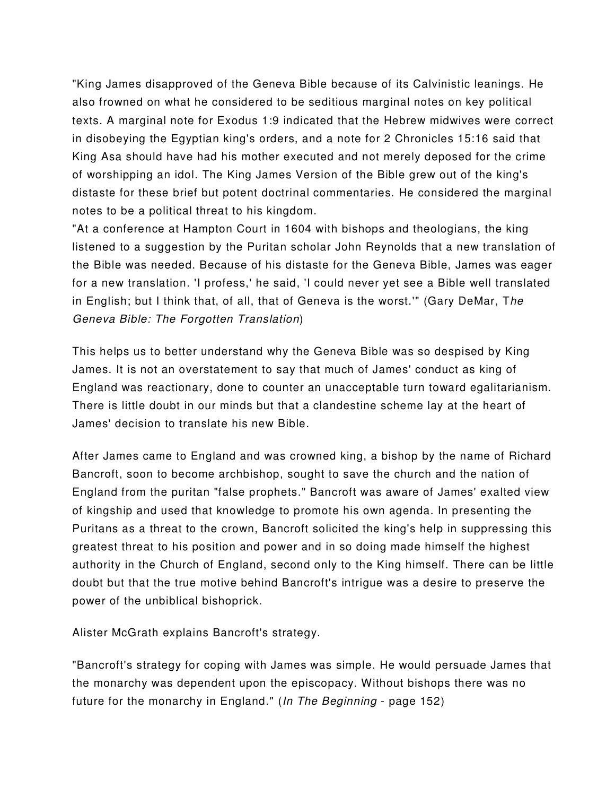"King James disapproved of the Geneva Bible because of its Calvinistic leanings. He also frowned on what he considered to be seditious marginal notes on key political texts. A marginal note for Exodus 1:9 indicated that the Hebrew midwives were correct in disobeying the Egyptian king's orders, and a note for 2 Chronicles 15:16 said that King Asa should have had his mother executed and not merely deposed for the crime of worshipping an idol. The King James Version of the Bible grew out of the king's distaste for these brief but potent doctrinal commentaries. He considered the marginal notes to be a political threat to his kingdom.

"At a conference at Hampton Court in 1604 with bishops and theologians, the king listened to a suggestion by the Puritan scholar John Reynolds that a new translation of the Bible was needed. Because of his distaste for the Geneva Bible, James was eager for a new translation. 'I profess,' he said, 'I could never yet see a Bible well translated in English; but I think that, of all, that of Geneva is the worst.'" (Gary DeMar, The Geneva Bible: The Forgotten Translation)

This helps us to better understand why the Geneva Bible was so despised by King James. It is not an overstatement to say that much of James' conduct as king of England was reactionary, done to counter an unacceptable turn toward egalitarianism. There is little doubt in our minds but that a clandestine scheme lay at the heart of James' decision to translate his new Bible.

After James came to England and was crowned king, a bishop by the name of Richard Bancroft, soon to become archbishop, sought to save the church and the nation of England from the puritan "false prophets." Bancroft was aware of James' exalted view of kingship and used that knowledge to promote his own agenda. In presenting the Puritans as a threat to the crown, Bancroft solicited the king's help in suppressing this greatest threat to his position and power and in so doing made himself the highest authority in the Church of England, second only to the King himself. There can be little doubt but that the true motive behind Bancroft's intrigue was a desire to preserve the power of the unbiblical bishoprick.

Alister McGrath explains Bancroft's strategy.

"Bancroft's strategy for coping with James was simple. He would persuade James that the monarchy was dependent upon the episcopacy. Without bishops there was no future for the monarchy in England." (In The Beginning - page 152)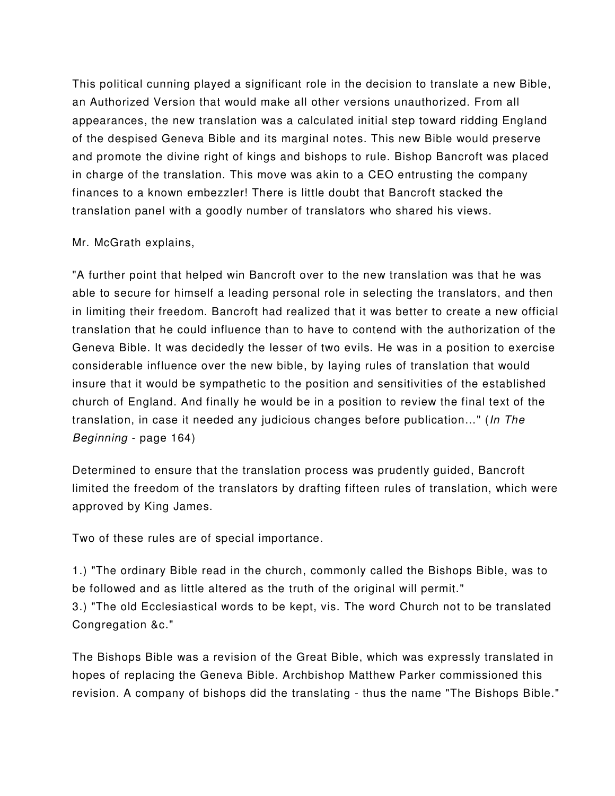This political cunning played a significant role in the decision to translate a new Bible, an Authorized Version that would make all other versions unauthorized. From all appearances, the new translation was a calculated initial step toward ridding England of the despised Geneva Bible and its marginal notes. This new Bible would preserve and promote the divine right of kings and bishops to rule. Bishop Bancroft was placed in charge of the translation. This move was akin to a CEO entrusting the company finances to a known embezzler! There is little doubt that Bancroft stacked the translation panel with a goodly number of translators who shared his views.

#### Mr. McGrath explains,

"A further point that helped win Bancroft over to the new translation was that he was able to secure for himself a leading personal role in selecting the translators, and then in limiting their freedom. Bancroft had realized that it was better to create a new official translation that he could influence than to have to contend with the authorization of the Geneva Bible. It was decidedly the lesser of two evils. He was in a position to exercise considerable influence over the new bible, by laying rules of translation that would insure that it would be sympathetic to the position and sensitivities of the established church of England. And finally he would be in a position to review the final text of the translation, in case it needed any judicious changes before publication…" (In The Beginning - page 164)

Determined to ensure that the translation process was prudently guided, Bancroft limited the freedom of the translators by drafting fifteen rules of translation, which were approved by King James.

Two of these rules are of special importance.

1.) "The ordinary Bible read in the church, commonly called the Bishops Bible, was to be followed and as little altered as the truth of the original will permit." 3.) "The old Ecclesiastical words to be kept, vis. The word Church not to be translated Congregation &c."

The Bishops Bible was a revision of the Great Bible, which was expressly translated in hopes of replacing the Geneva Bible. Archbishop Matthew Parker commissioned this revision. A company of bishops did the translating - thus the name "The Bishops Bible."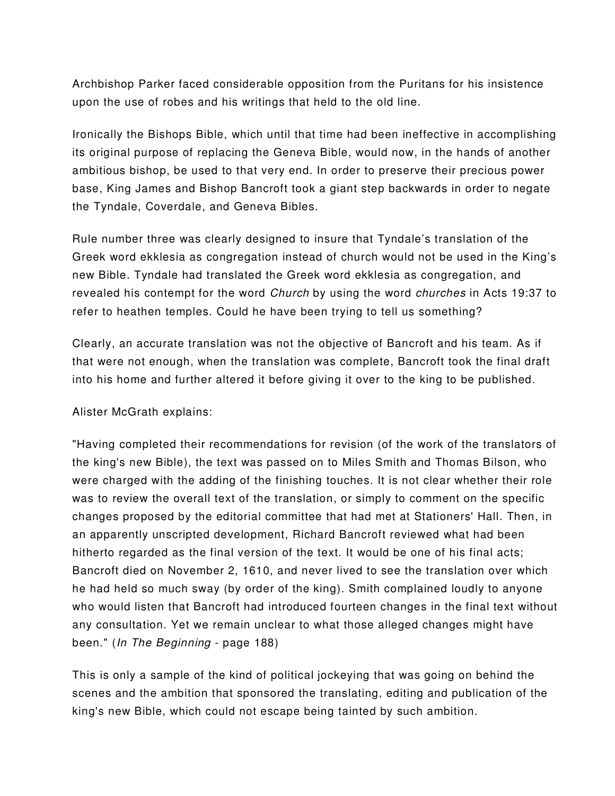Archbishop Parker faced considerable opposition from the Puritans for his insistence upon the use of robes and his writings that held to the old line.

Ironically the Bishops Bible, which until that time had been ineffective in accomplishing its original purpose of replacing the Geneva Bible, would now, in the hands of another ambitious bishop, be used to that very end. In order to preserve their precious power base, King James and Bishop Bancroft took a giant step backwards in order to negate the Tyndale, Coverdale, and Geneva Bibles.

Rule number three was clearly designed to insure that Tyndale's translation of the Greek word ekklesia as congregation instead of church would not be used in the King's new Bible. Tyndale had translated the Greek word ekklesia as congregation, and revealed his contempt for the word Church by using the word churches in Acts 19:37 to refer to heathen temples. Could he have been trying to tell us something?

Clearly, an accurate translation was not the objective of Bancroft and his team. As if that were not enough, when the translation was complete, Bancroft took the final draft into his home and further altered it before giving it over to the king to be published.

## Alister McGrath explains:

"Having completed their recommendations for revision (of the work of the translators of the king's new Bible), the text was passed on to Miles Smith and Thomas Bilson, who were charged with the adding of the finishing touches. It is not clear whether their role was to review the overall text of the translation, or simply to comment on the specific changes proposed by the editorial committee that had met at Stationers' Hall. Then, in an apparently unscripted development, Richard Bancroft reviewed what had been hitherto regarded as the final version of the text. It would be one of his final acts; Bancroft died on November 2, 1610, and never lived to see the translation over which he had held so much sway (by order of the king). Smith complained loudly to anyone who would listen that Bancroft had introduced fourteen changes in the final text without any consultation. Yet we remain unclear to what those alleged changes might have been." (In The Beginning - page 188)

This is only a sample of the kind of political jockeying that was going on behind the scenes and the ambition that sponsored the translating, editing and publication of the king's new Bible, which could not escape being tainted by such ambition.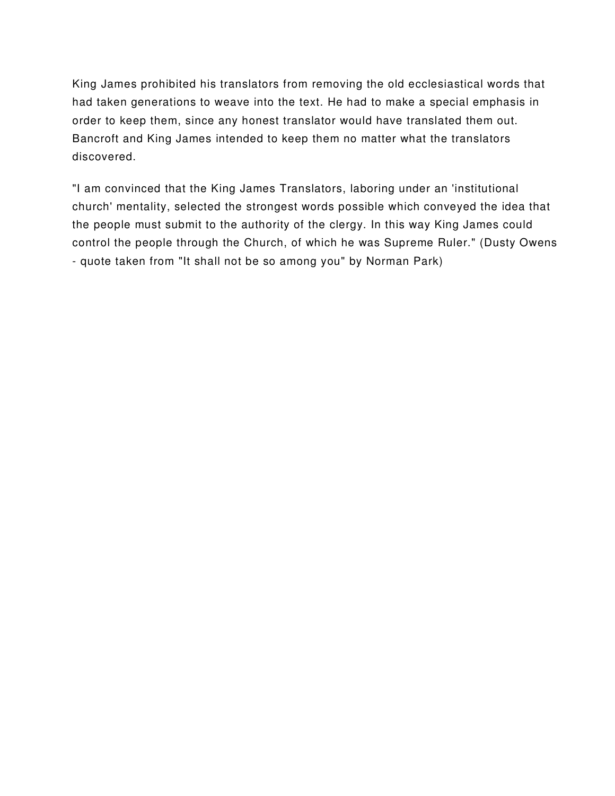King James prohibited his translators from removing the old ecclesiastical words that had taken generations to weave into the text. He had to make a special emphasis in order to keep them, since any honest translator would have translated them out. Bancroft and King James intended to keep them no matter what the translators discovered.

"I am convinced that the King James Translators, laboring under an 'institutional church' mentality, selected the strongest words possible which conveyed the idea that the people must submit to the authority of the clergy. In this way King James could control the people through the Church, of which he was Supreme Ruler." (Dusty Owens - quote taken from "It shall not be so among you" by Norman Park)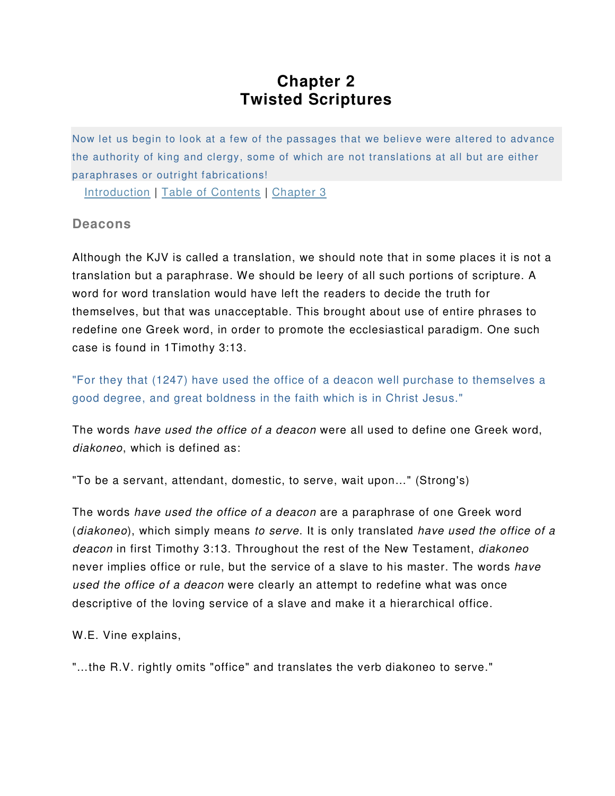## **Chapter 2 Twisted Scriptures**

Now let us begin to look at a few of the passages that we believe were altered to advance the authority of king and clergy, some of which are not translations at all but are either paraphrases or outright fabrications!

Introduction | Table of Contents | Chapter 3

## **Deacons**

Although the KJV is called a translation, we should note that in some places it is not a translation but a paraphrase. We should be leery of all such portions of scripture. A word for word translation would have left the readers to decide the truth for themselves, but that was unacceptable. This brought about use of entire phrases to redefine one Greek word, in order to promote the ecclesiastical paradigm. One such case is found in 1Timothy 3:13.

"For they that (1247) have used the office of a deacon well purchase to themselves a good degree, and great boldness in the faith which is in Christ Jesus."

The words have used the office of a deacon were all used to define one Greek word, diakoneo, which is defined as:

"To be a servant, attendant, domestic, to serve, wait upon…" (Strong's)

The words have used the office of a deacon are a paraphrase of one Greek word (diakoneo), which simply means to serve. It is only translated have used the office of a deacon in first Timothy 3:13. Throughout the rest of the New Testament, *diakoneo* never implies office or rule, but the service of a slave to his master. The words have used the office of a deacon were clearly an attempt to redefine what was once descriptive of the loving service of a slave and make it a hierarchical office.

W.E. Vine explains,

"…the R.V. rightly omits "office" and translates the verb diakoneo to serve."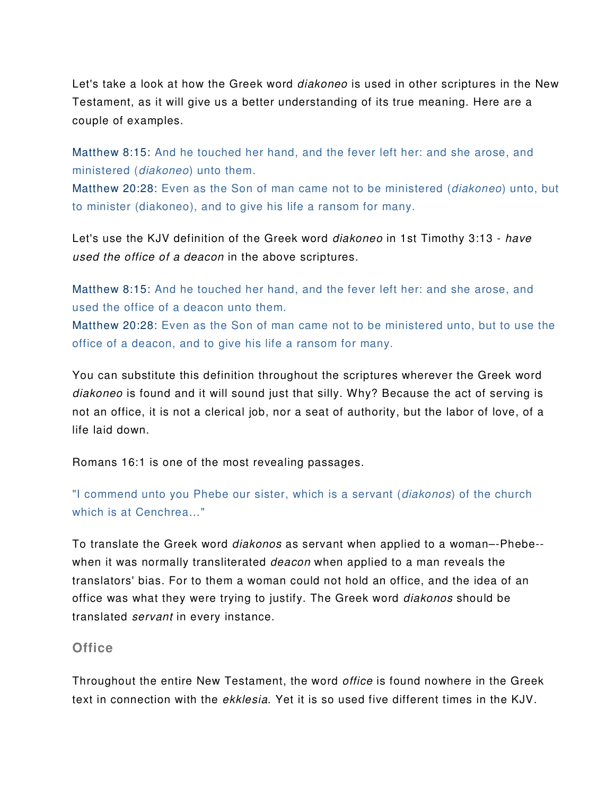Let's take a look at how the Greek word *diakoneo* is used in other scriptures in the New Testament, as it will give us a better understanding of its true meaning. Here are a couple of examples.

Matthew 8:15: And he touched her hand, and the fever left her: and she arose, and ministered (diakoneo) unto them.

Matthew 20:28: Even as the Son of man came not to be ministered (*diakoneo*) unto, but to minister (diakoneo), and to give his life a ransom for many.

Let's use the KJV definition of the Greek word *diakoneo* in 1st Timothy 3:13 - have used the office of a deacon in the above scriptures.

Matthew 8:15: And he touched her hand, and the fever left her: and she arose, and used the office of a deacon unto them.

Matthew 20:28: Even as the Son of man came not to be ministered unto, but to use the office of a deacon, and to give his life a ransom for many.

You can substitute this definition throughout the scriptures wherever the Greek word diakoneo is found and it will sound just that silly. Why? Because the act of serving is not an office, it is not a clerical job, nor a seat of authority, but the labor of love, of a life laid down.

Romans 16:1 is one of the most revealing passages.

"I commend unto you Phebe our sister, which is a servant (diakonos) of the church which is at Cenchrea…"

To translate the Greek word diakonos as servant when applied to a woman–-Phebe- when it was normally transliterated *deacon* when applied to a man reveals the translators' bias. For to them a woman could not hold an office, and the idea of an office was what they were trying to justify. The Greek word diakonos should be translated servant in every instance.

## **Office**

Throughout the entire New Testament, the word office is found nowhere in the Greek text in connection with the ekklesia. Yet it is so used five different times in the KJV.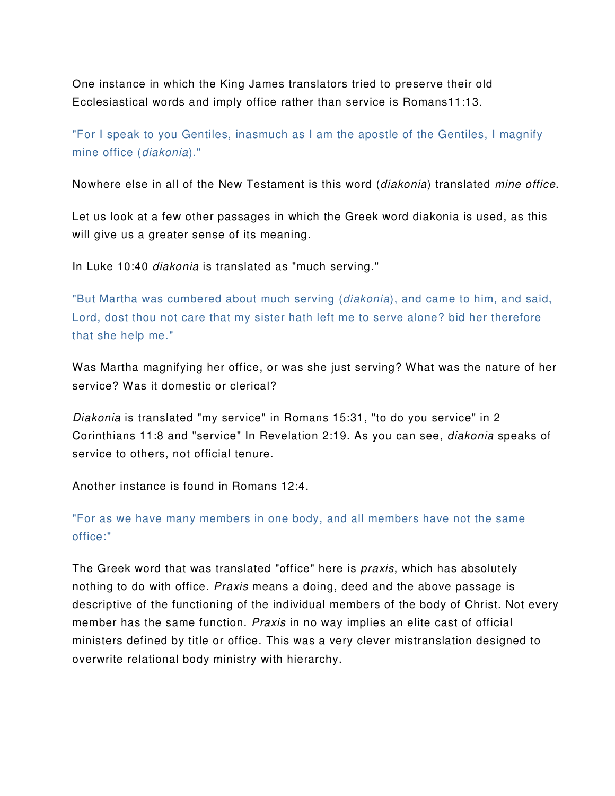One instance in which the King James translators tried to preserve their old Ecclesiastical words and imply office rather than service is Romans11:13.

"For I speak to you Gentiles, inasmuch as I am the apostle of the Gentiles, I magnify mine office (diakonia)."

Nowhere else in all of the New Testament is this word (diakonia) translated mine office.

Let us look at a few other passages in which the Greek word diakonia is used, as this will give us a greater sense of its meaning.

In Luke 10:40 diakonia is translated as "much serving."

"But Martha was cumbered about much serving (*diakonia*), and came to him, and said, Lord, dost thou not care that my sister hath left me to serve alone? bid her therefore that she help me."

Was Martha magnifying her office, or was she just serving? What was the nature of her service? Was it domestic or clerical?

Diakonia is translated "my service" in Romans 15:31, "to do you service" in 2 Corinthians 11:8 and "service" In Revelation 2:19. As you can see, diakonia speaks of service to others, not official tenure.

Another instance is found in Romans 12:4.

"For as we have many members in one body, and all members have not the same office:"

The Greek word that was translated "office" here is *praxis*, which has absolutely nothing to do with office. *Praxis* means a doing, deed and the above passage is descriptive of the functioning of the individual members of the body of Christ. Not every member has the same function. Praxis in no way implies an elite cast of official ministers defined by title or office. This was a very clever mistranslation designed to overwrite relational body ministry with hierarchy.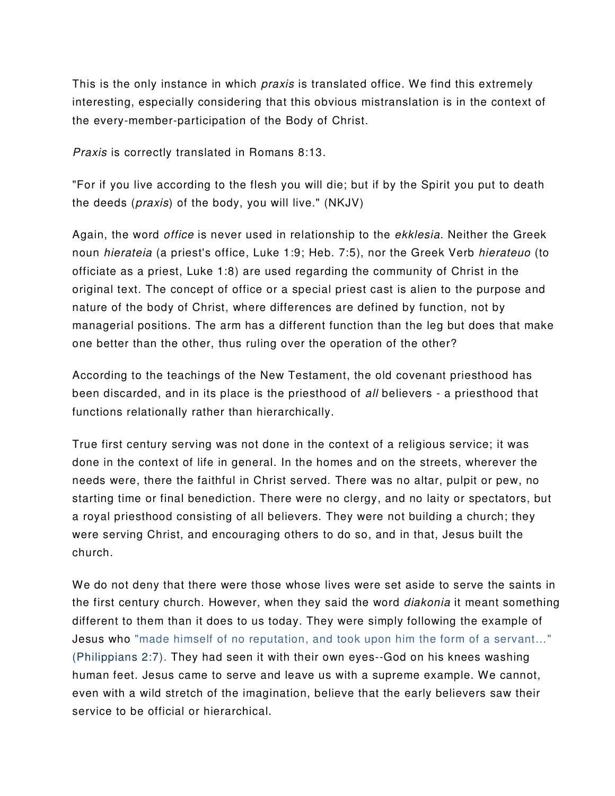This is the only instance in which *praxis* is translated office. We find this extremely interesting, especially considering that this obvious mistranslation is in the context of the every-member-participation of the Body of Christ.

Praxis is correctly translated in Romans 8:13.

"For if you live according to the flesh you will die; but if by the Spirit you put to death the deeds (praxis) of the body, you will live." (NKJV)

Again, the word *office* is never used in relationship to the *ekklesia*. Neither the Greek noun *hierateia* (a priest's office, Luke 1:9; Heb. 7:5), nor the Greek Verb *hierateuo* (to officiate as a priest, Luke 1:8) are used regarding the community of Christ in the original text. The concept of office or a special priest cast is alien to the purpose and nature of the body of Christ, where differences are defined by function, not by managerial positions. The arm has a different function than the leg but does that make one better than the other, thus ruling over the operation of the other?

According to the teachings of the New Testament, the old covenant priesthood has been discarded, and in its place is the priesthood of all believers - a priesthood that functions relationally rather than hierarchically.

True first century serving was not done in the context of a religious service; it was done in the context of life in general. In the homes and on the streets, wherever the needs were, there the faithful in Christ served. There was no altar, pulpit or pew, no starting time or final benediction. There were no clergy, and no laity or spectators, but a royal priesthood consisting of all believers. They were not building a church; they were serving Christ, and encouraging others to do so, and in that, Jesus built the church.

We do not deny that there were those whose lives were set aside to serve the saints in the first century church. However, when they said the word *diakonia* it meant something different to them than it does to us today. They were simply following the example of Jesus who "made himself of no reputation, and took upon him the form of a servant…" (Philippians 2:7). They had seen it with their own eyes--God on his knees washing human feet. Jesus came to serve and leave us with a supreme example. We cannot, even with a wild stretch of the imagination, believe that the early believers saw their service to be official or hierarchical.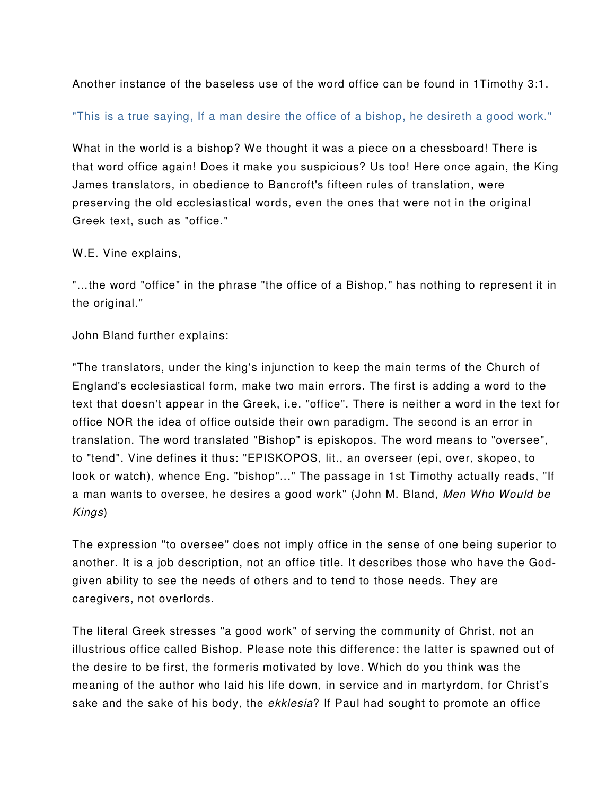Another instance of the baseless use of the word office can be found in 1Timothy 3:1.

"This is a true saying, If a man desire the office of a bishop, he desireth a good work."

What in the world is a bishop? We thought it was a piece on a chessboard! There is that word office again! Does it make you suspicious? Us too! Here once again, the King James translators, in obedience to Bancroft's fifteen rules of translation, were preserving the old ecclesiastical words, even the ones that were not in the original Greek text, such as "office."

W.E. Vine explains,

"…the word "office" in the phrase "the office of a Bishop," has nothing to represent it in the original."

John Bland further explains:

"The translators, under the king's injunction to keep the main terms of the Church of England's ecclesiastical form, make two main errors. The first is adding a word to the text that doesn't appear in the Greek, i.e. "office". There is neither a word in the text for office NOR the idea of office outside their own paradigm. The second is an error in translation. The word translated "Bishop" is episkopos. The word means to "oversee", to "tend". Vine defines it thus: "EPISKOPOS, lit., an overseer (epi, over, skopeo, to look or watch), whence Eng. "bishop"..." The passage in 1st Timothy actually reads, "If a man wants to oversee, he desires a good work" (John M. Bland, Men Who Would be Kings)

The expression "to oversee" does not imply office in the sense of one being superior to another. It is a job description, not an office title. It describes those who have the Godgiven ability to see the needs of others and to tend to those needs. They are caregivers, not overlords.

The literal Greek stresses "a good work" of serving the community of Christ, not an illustrious office called Bishop. Please note this difference: the latter is spawned out of the desire to be first, the formeris motivated by love. Which do you think was the meaning of the author who laid his life down, in service and in martyrdom, for Christ's sake and the sake of his body, the *ekklesia*? If Paul had sought to promote an office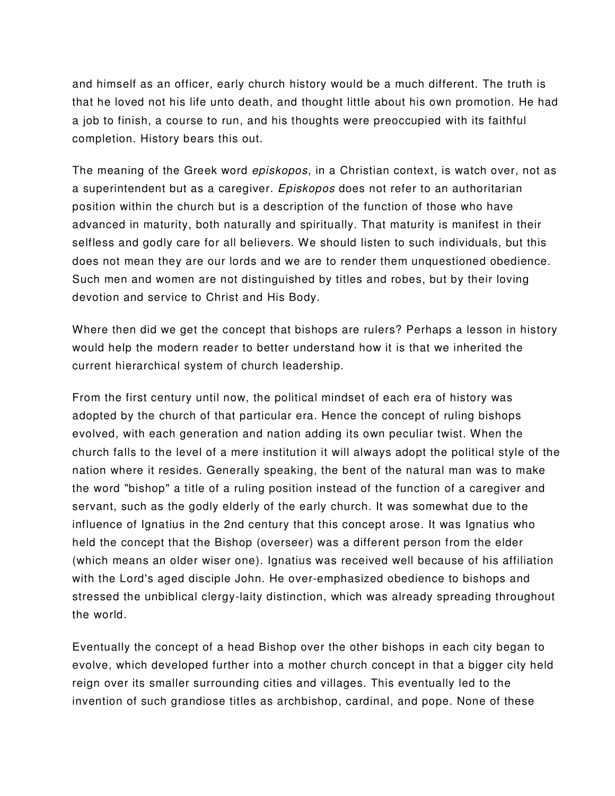and himself as an officer, early church history would be a much different. The truth is that he loved not his life unto death, and thought little about his own promotion. He had a job to finish, a course to run, and his thoughts were preoccupied with its faithful completion. History bears this out.

The meaning of the Greek word *episkopos*, in a Christian context, is watch over, not as a superintendent but as a caregiver. Episkopos does not refer to an authoritarian position within the church but is a description of the function of those who have advanced in maturity, both naturally and spiritually. That maturity is manifest in their selfless and godly care for all believers. We should listen to such individuals, but this does not mean they are our lords and we are to render them unquestioned obedience. Such men and women are not distinguished by titles and robes, but by their loving devotion and service to Christ and His Body.

Where then did we get the concept that bishops are rulers? Perhaps a lesson in history would help the modern reader to better understand how it is that we inherited the current hierarchical system of church leadership.

From the first century until now, the political mindset of each era of history was adopted by the church of that particular era. Hence the concept of ruling bishops evolved, with each generation and nation adding its own peculiar twist. When the church falls to the level of a mere institution it will always adopt the political style of the nation where it resides. Generally speaking, the bent of the natural man was to make the word "bishop" a title of a ruling position instead of the function of a caregiver and servant, such as the godly elderly of the early church. It was somewhat due to the influence of Ignatius in the 2nd century that this concept arose. It was Ignatius who held the concept that the Bishop (overseer) was a different person from the elder (which means an older wiser one). Ignatius was received well because of his affiliation with the Lord's aged disciple John. He over-emphasized obedience to bishops and stressed the unbiblical clergy-laity distinction, which was already spreading throughout the world.

Eventually the concept of a head Bishop over the other bishops in each city began to evolve, which developed further into a mother church concept in that a bigger city held reign over its smaller surrounding cities and villages. This eventually led to the invention of such grandiose titles as archbishop, cardinal, and pope. None of these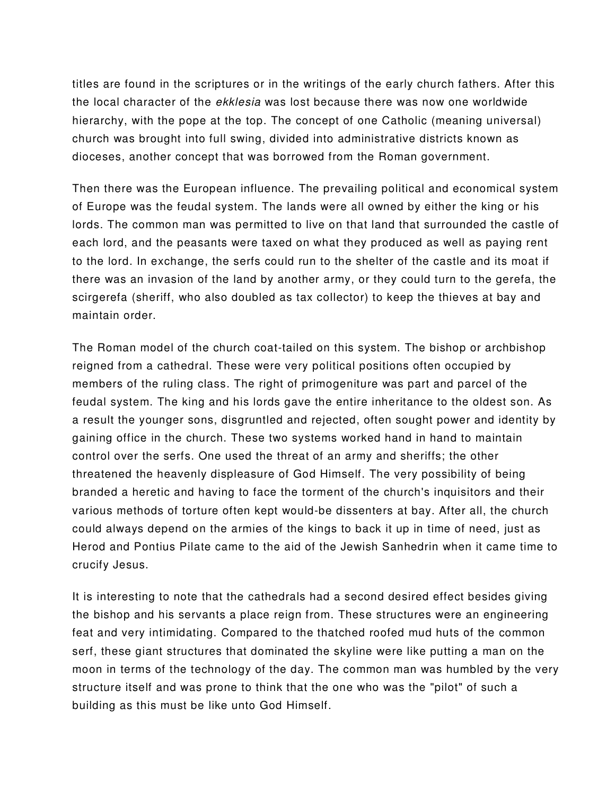titles are found in the scriptures or in the writings of the early church fathers. After this the local character of the *ekklesia* was lost because there was now one worldwide hierarchy, with the pope at the top. The concept of one Catholic (meaning universal) church was brought into full swing, divided into administrative districts known as dioceses, another concept that was borrowed from the Roman government.

Then there was the European influence. The prevailing political and economical system of Europe was the feudal system. The lands were all owned by either the king or his lords. The common man was permitted to live on that land that surrounded the castle of each lord, and the peasants were taxed on what they produced as well as paying rent to the lord. In exchange, the serfs could run to the shelter of the castle and its moat if there was an invasion of the land by another army, or they could turn to the gerefa, the scirgerefa (sheriff, who also doubled as tax collector) to keep the thieves at bay and maintain order.

The Roman model of the church coat-tailed on this system. The bishop or archbishop reigned from a cathedral. These were very political positions often occupied by members of the ruling class. The right of primogeniture was part and parcel of the feudal system. The king and his lords gave the entire inheritance to the oldest son. As a result the younger sons, disgruntled and rejected, often sought power and identity by gaining office in the church. These two systems worked hand in hand to maintain control over the serfs. One used the threat of an army and sheriffs; the other threatened the heavenly displeasure of God Himself. The very possibility of being branded a heretic and having to face the torment of the church's inquisitors and their various methods of torture often kept would-be dissenters at bay. After all, the church could always depend on the armies of the kings to back it up in time of need, just as Herod and Pontius Pilate came to the aid of the Jewish Sanhedrin when it came time to crucify Jesus.

It is interesting to note that the cathedrals had a second desired effect besides giving the bishop and his servants a place reign from. These structures were an engineering feat and very intimidating. Compared to the thatched roofed mud huts of the common serf, these giant structures that dominated the skyline were like putting a man on the moon in terms of the technology of the day. The common man was humbled by the very structure itself and was prone to think that the one who was the "pilot" of such a building as this must be like unto God Himself.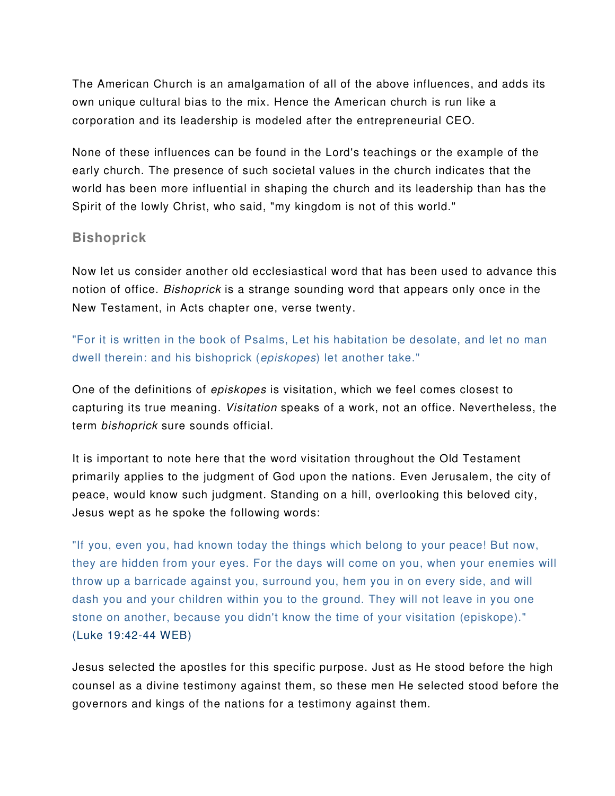The American Church is an amalgamation of all of the above influences, and adds its own unique cultural bias to the mix. Hence the American church is run like a corporation and its leadership is modeled after the entrepreneurial CEO.

None of these influences can be found in the Lord's teachings or the example of the early church. The presence of such societal values in the church indicates that the world has been more influential in shaping the church and its leadership than has the Spirit of the lowly Christ, who said, "my kingdom is not of this world."

## **Bishoprick**

Now let us consider another old ecclesiastical word that has been used to advance this notion of office. Bishoprick is a strange sounding word that appears only once in the New Testament, in Acts chapter one, verse twenty.

"For it is written in the book of Psalms, Let his habitation be desolate, and let no man dwell therein: and his bishoprick (episkopes) let another take."

One of the definitions of episkopes is visitation, which we feel comes closest to capturing its true meaning. Visitation speaks of a work, not an office. Nevertheless, the term bishoprick sure sounds official.

It is important to note here that the word visitation throughout the Old Testament primarily applies to the judgment of God upon the nations. Even Jerusalem, the city of peace, would know such judgment. Standing on a hill, overlooking this beloved city, Jesus wept as he spoke the following words:

"If you, even you, had known today the things which belong to your peace! But now, they are hidden from your eyes. For the days will come on you, when your enemies will throw up a barricade against you, surround you, hem you in on every side, and will dash you and your children within you to the ground. They will not leave in you one stone on another, because you didn't know the time of your visitation (episkope)." (Luke 19:42-44 WEB)

Jesus selected the apostles for this specific purpose. Just as He stood before the high counsel as a divine testimony against them, so these men He selected stood before the governors and kings of the nations for a testimony against them.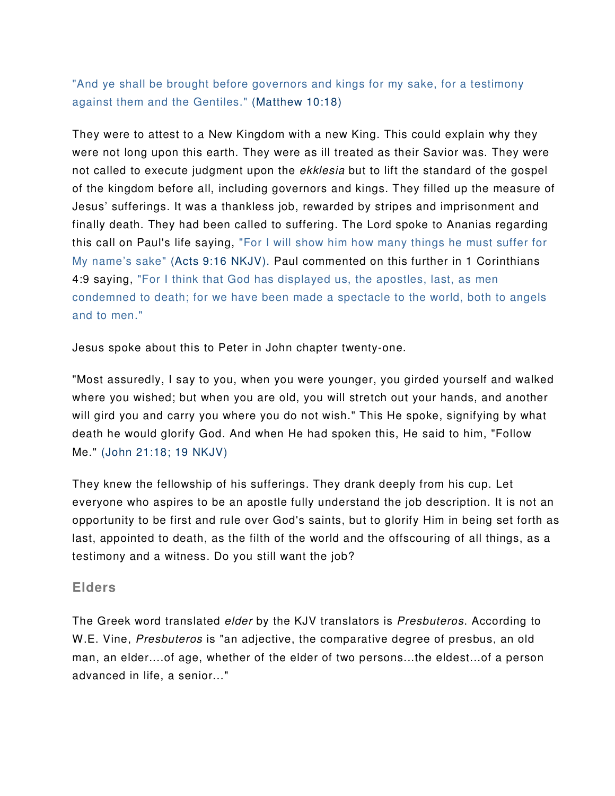"And ye shall be brought before governors and kings for my sake, for a testimony against them and the Gentiles." (Matthew 10:18)

They were to attest to a New Kingdom with a new King. This could explain why they were not long upon this earth. They were as ill treated as their Savior was. They were not called to execute judgment upon the *ekklesia* but to lift the standard of the gospel of the kingdom before all, including governors and kings. They filled up the measure of Jesus' sufferings. It was a thankless job, rewarded by stripes and imprisonment and finally death. They had been called to suffering. The Lord spoke to Ananias regarding this call on Paul's life saying, "For I will show him how many things he must suffer for My name's sake" (Acts 9:16 NKJV). Paul commented on this further in 1 Corinthians 4:9 saying, "For I think that God has displayed us, the apostles, last, as men condemned to death; for we have been made a spectacle to the world, both to angels and to men."

Jesus spoke about this to Peter in John chapter twenty-one.

"Most assuredly, I say to you, when you were younger, you girded yourself and walked where you wished; but when you are old, you will stretch out your hands, and another will gird you and carry you where you do not wish." This He spoke, signifying by what death he would glorify God. And when He had spoken this, He said to him, "Follow Me." (John 21:18; 19 NKJV)

They knew the fellowship of his sufferings. They drank deeply from his cup. Let everyone who aspires to be an apostle fully understand the job description. It is not an opportunity to be first and rule over God's saints, but to glorify Him in being set forth as last, appointed to death, as the filth of the world and the offscouring of all things, as a testimony and a witness. Do you still want the job?

## **Elders**

The Greek word translated *elder* by the KJV translators is *Presbuteros*. According to W.E. Vine, *Presbuteros* is "an adjective, the comparative degree of presbus, an old man, an elder....of age, whether of the elder of two persons...the eldest...of a person advanced in life, a senior..."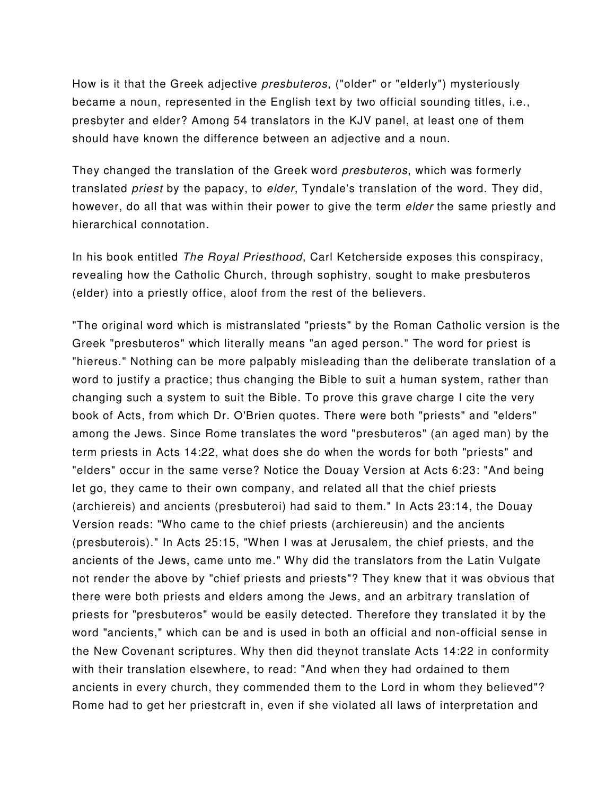How is it that the Greek adjective presbuteros, ("older" or "elderly") mysteriously became a noun, represented in the English text by two official sounding titles, i.e., presbyter and elder? Among 54 translators in the KJV panel, at least one of them should have known the difference between an adjective and a noun.

They changed the translation of the Greek word *presbuteros*, which was formerly translated *priest* by the papacy, to *elder*, Tyndale's translation of the word. They did, however, do all that was within their power to give the term *elder* the same priestly and hierarchical connotation.

In his book entitled The Royal Priesthood, Carl Ketcherside exposes this conspiracy, revealing how the Catholic Church, through sophistry, sought to make presbuteros (elder) into a priestly office, aloof from the rest of the believers.

"The original word which is mistranslated "priests" by the Roman Catholic version is the Greek "presbuteros" which literally means "an aged person." The word for priest is "hiereus." Nothing can be more palpably misleading than the deliberate translation of a word to justify a practice; thus changing the Bible to suit a human system, rather than changing such a system to suit the Bible. To prove this grave charge I cite the very book of Acts, from which Dr. O'Brien quotes. There were both "priests" and "elders" among the Jews. Since Rome translates the word "presbuteros" (an aged man) by the term priests in Acts 14:22, what does she do when the words for both "priests" and "elders" occur in the same verse? Notice the Douay Version at Acts 6:23: "And being let go, they came to their own company, and related all that the chief priests (archiereis) and ancients (presbuteroi) had said to them." In Acts 23:14, the Douay Version reads: "Who came to the chief priests (archiereusin) and the ancients (presbuterois)." In Acts 25:15, "When I was at Jerusalem, the chief priests, and the ancients of the Jews, came unto me." Why did the translators from the Latin Vulgate not render the above by "chief priests and priests"? They knew that it was obvious that there were both priests and elders among the Jews, and an arbitrary translation of priests for "presbuteros" would be easily detected. Therefore they translated it by the word "ancients," which can be and is used in both an official and non-official sense in the New Covenant scriptures. Why then did theynot translate Acts 14:22 in conformity with their translation elsewhere, to read: "And when they had ordained to them ancients in every church, they commended them to the Lord in whom they believed"? Rome had to get her priestcraft in, even if she violated all laws of interpretation and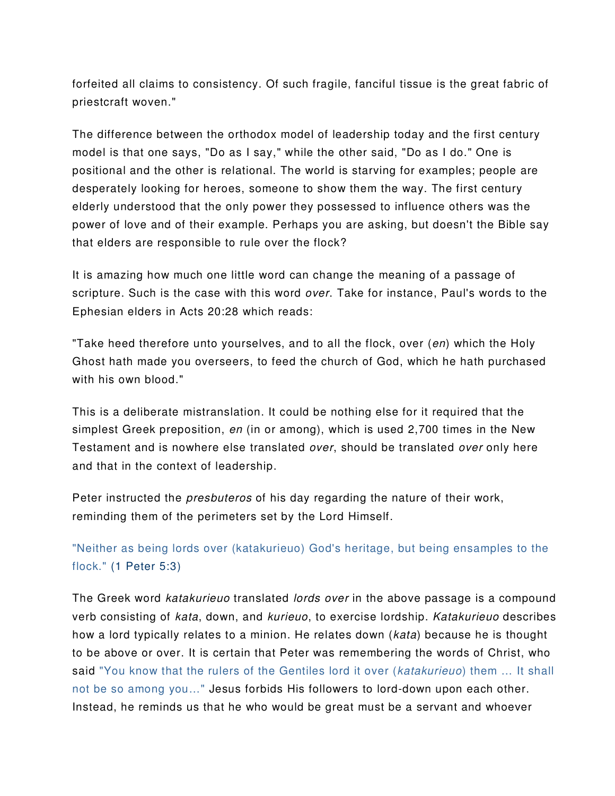forfeited all claims to consistency. Of such fragile, fanciful tissue is the great fabric of priestcraft woven."

The difference between the orthodox model of leadership today and the first century model is that one says, "Do as I say," while the other said, "Do as I do." One is positional and the other is relational. The world is starving for examples; people are desperately looking for heroes, someone to show them the way. The first century elderly understood that the only power they possessed to influence others was the power of love and of their example. Perhaps you are asking, but doesn't the Bible say that elders are responsible to rule over the flock?

It is amazing how much one little word can change the meaning of a passage of scripture. Such is the case with this word over. Take for instance, Paul's words to the Ephesian elders in Acts 20:28 which reads:

"Take heed therefore unto yourselves, and to all the flock, over (en) which the Holy Ghost hath made you overseers, to feed the church of God, which he hath purchased with his own blood."

This is a deliberate mistranslation. It could be nothing else for it required that the simplest Greek preposition, en (in or among), which is used 2,700 times in the New Testament and is nowhere else translated over, should be translated over only here and that in the context of leadership.

Peter instructed the *presbuteros* of his day regarding the nature of their work, reminding them of the perimeters set by the Lord Himself.

"Neither as being lords over (katakurieuo) God's heritage, but being ensamples to the flock." (1 Peter 5:3)

The Greek word *katakurieuo* translated *lords over* in the above passage is a compound verb consisting of kata, down, and kurieuo, to exercise lordship. Katakurieuo describes how a lord typically relates to a minion. He relates down (kata) because he is thought to be above or over. It is certain that Peter was remembering the words of Christ, who said "You know that the rulers of the Gentiles lord it over (katakurieuo) them ... It shall not be so among you…" Jesus forbids His followers to lord-down upon each other. Instead, he reminds us that he who would be great must be a servant and whoever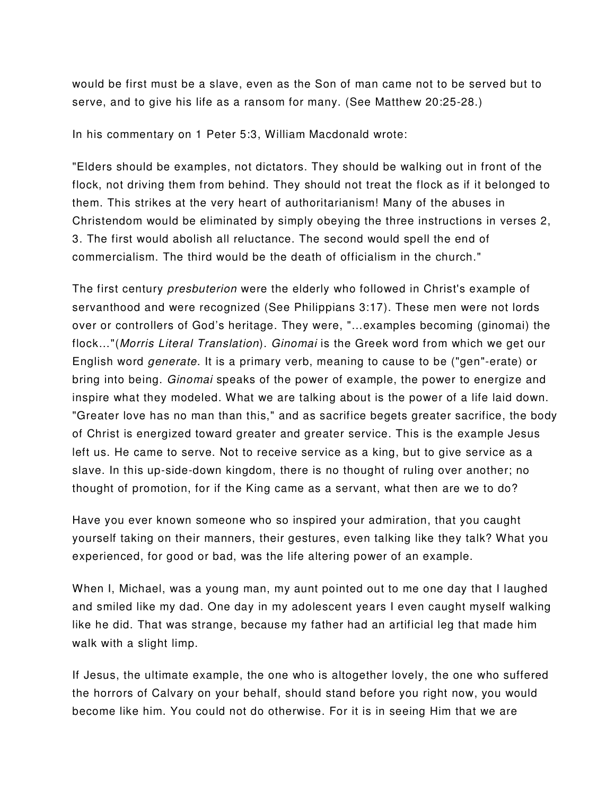would be first must be a slave, even as the Son of man came not to be served but to serve, and to give his life as a ransom for many. (See Matthew 20:25-28.)

In his commentary on 1 Peter 5:3, William Macdonald wrote:

"Elders should be examples, not dictators. They should be walking out in front of the flock, not driving them from behind. They should not treat the flock as if it belonged to them. This strikes at the very heart of authoritarianism! Many of the abuses in Christendom would be eliminated by simply obeying the three instructions in verses 2, 3. The first would abolish all reluctance. The second would spell the end of commercialism. The third would be the death of officialism in the church."

The first century presbuterion were the elderly who followed in Christ's example of servanthood and were recognized (See Philippians 3:17). These men were not lords over or controllers of God's heritage. They were, "…examples becoming (ginomai) the flock…"(Morris Literal Translation). Ginomai is the Greek word from which we get our English word generate. It is a primary verb, meaning to cause to be ("gen"-erate) or bring into being. Ginomai speaks of the power of example, the power to energize and inspire what they modeled. What we are talking about is the power of a life laid down. "Greater love has no man than this," and as sacrifice begets greater sacrifice, the body of Christ is energized toward greater and greater service. This is the example Jesus left us. He came to serve. Not to receive service as a king, but to give service as a slave. In this up-side-down kingdom, there is no thought of ruling over another; no thought of promotion, for if the King came as a servant, what then are we to do?

Have you ever known someone who so inspired your admiration, that you caught yourself taking on their manners, their gestures, even talking like they talk? What you experienced, for good or bad, was the life altering power of an example.

When I, Michael, was a young man, my aunt pointed out to me one day that I laughed and smiled like my dad. One day in my adolescent years I even caught myself walking like he did. That was strange, because my father had an artificial leg that made him walk with a slight limp.

If Jesus, the ultimate example, the one who is altogether lovely, the one who suffered the horrors of Calvary on your behalf, should stand before you right now, you would become like him. You could not do otherwise. For it is in seeing Him that we are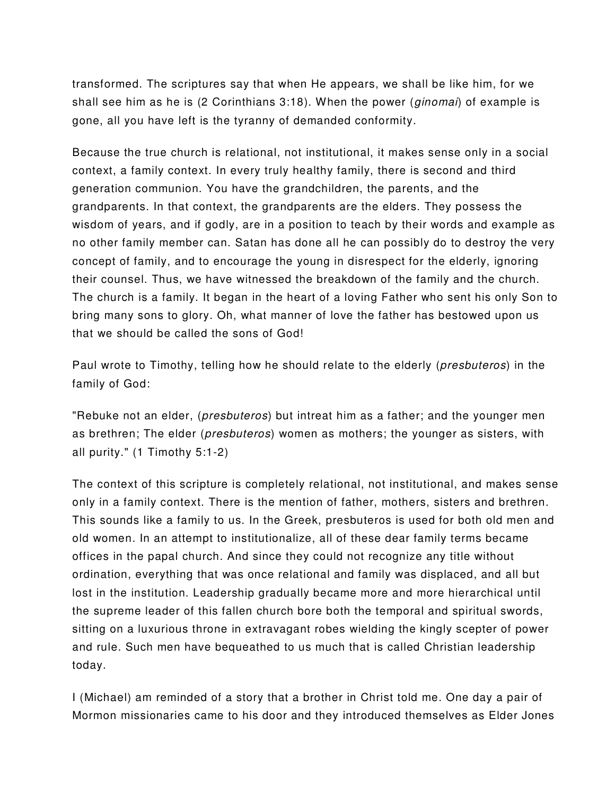transformed. The scriptures say that when He appears, we shall be like him, for we shall see him as he is (2 Corinthians  $3:18$ ). When the power (*ginomai*) of example is gone, all you have left is the tyranny of demanded conformity.

Because the true church is relational, not institutional, it makes sense only in a social context, a family context. In every truly healthy family, there is second and third generation communion. You have the grandchildren, the parents, and the grandparents. In that context, the grandparents are the elders. They possess the wisdom of years, and if godly, are in a position to teach by their words and example as no other family member can. Satan has done all he can possibly do to destroy the very concept of family, and to encourage the young in disrespect for the elderly, ignoring their counsel. Thus, we have witnessed the breakdown of the family and the church. The church is a family. It began in the heart of a loving Father who sent his only Son to bring many sons to glory. Oh, what manner of love the father has bestowed upon us that we should be called the sons of God!

Paul wrote to Timothy, telling how he should relate to the elderly (presbuteros) in the family of God:

"Rebuke not an elder, (*presbuteros*) but intreat him as a father; and the younger men as brethren; The elder (presbuteros) women as mothers; the younger as sisters, with all purity." (1 Timothy 5:1-2)

The context of this scripture is completely relational, not institutional, and makes sense only in a family context. There is the mention of father, mothers, sisters and brethren. This sounds like a family to us. In the Greek, presbuteros is used for both old men and old women. In an attempt to institutionalize, all of these dear family terms became offices in the papal church. And since they could not recognize any title without ordination, everything that was once relational and family was displaced, and all but lost in the institution. Leadership gradually became more and more hierarchical until the supreme leader of this fallen church bore both the temporal and spiritual swords, sitting on a luxurious throne in extravagant robes wielding the kingly scepter of power and rule. Such men have bequeathed to us much that is called Christian leadership today.

I (Michael) am reminded of a story that a brother in Christ told me. One day a pair of Mormon missionaries came to his door and they introduced themselves as Elder Jones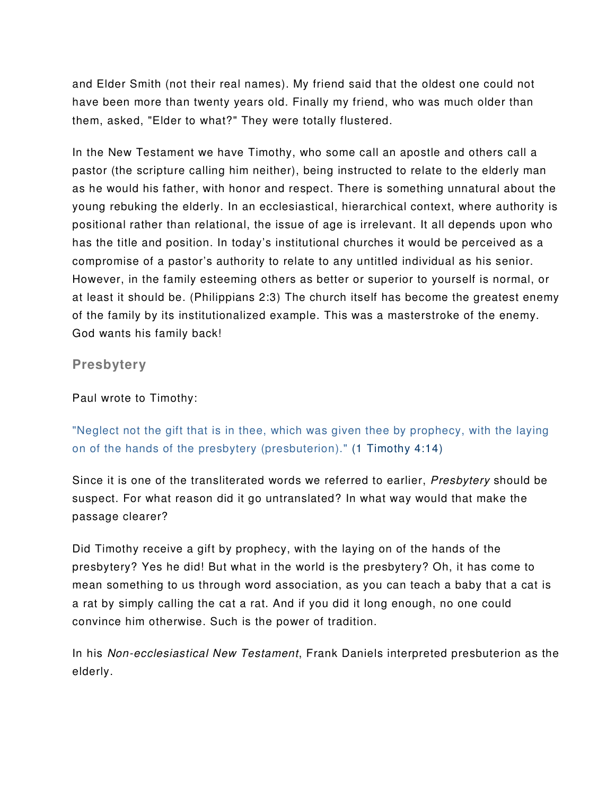and Elder Smith (not their real names). My friend said that the oldest one could not have been more than twenty years old. Finally my friend, who was much older than them, asked, "Elder to what?" They were totally flustered.

In the New Testament we have Timothy, who some call an apostle and others call a pastor (the scripture calling him neither), being instructed to relate to the elderly man as he would his father, with honor and respect. There is something unnatural about the young rebuking the elderly. In an ecclesiastical, hierarchical context, where authority is positional rather than relational, the issue of age is irrelevant. It all depends upon who has the title and position. In today's institutional churches it would be perceived as a compromise of a pastor's authority to relate to any untitled individual as his senior. However, in the family esteeming others as better or superior to yourself is normal, or at least it should be. (Philippians 2:3) The church itself has become the greatest enemy of the family by its institutionalized example. This was a masterstroke of the enemy. God wants his family back!

**Presbytery** 

Paul wrote to Timothy:

"Neglect not the gift that is in thee, which was given thee by prophecy, with the laying on of the hands of the presbytery (presbuterion)." (1 Timothy 4:14)

Since it is one of the transliterated words we referred to earlier, Presbytery should be suspect. For what reason did it go untranslated? In what way would that make the passage clearer?

Did Timothy receive a gift by prophecy, with the laying on of the hands of the presbytery? Yes he did! But what in the world is the presbytery? Oh, it has come to mean something to us through word association, as you can teach a baby that a cat is a rat by simply calling the cat a rat. And if you did it long enough, no one could convince him otherwise. Such is the power of tradition.

In his Non-ecclesiastical New Testament, Frank Daniels interpreted presbuterion as the elderly.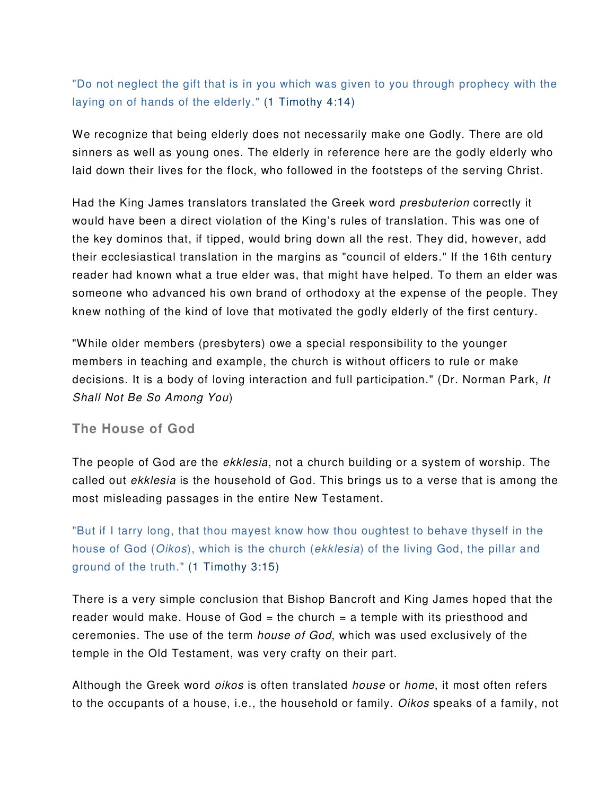## "Do not neglect the gift that is in you which was given to you through prophecy with the laying on of hands of the elderly." (1 Timothy 4:14)

We recognize that being elderly does not necessarily make one Godly. There are old sinners as well as young ones. The elderly in reference here are the godly elderly who laid down their lives for the flock, who followed in the footsteps of the serving Christ.

Had the King James translators translated the Greek word presbuterion correctly it would have been a direct violation of the King's rules of translation. This was one of the key dominos that, if tipped, would bring down all the rest. They did, however, add their ecclesiastical translation in the margins as "council of elders." If the 16th century reader had known what a true elder was, that might have helped. To them an elder was someone who advanced his own brand of orthodoxy at the expense of the people. They knew nothing of the kind of love that motivated the godly elderly of the first century.

"While older members (presbyters) owe a special responsibility to the younger members in teaching and example, the church is without officers to rule or make decisions. It is a body of loving interaction and full participation." (Dr. Norman Park, It Shall Not Be So Among You)

## **The House of God**

The people of God are the *ekklesia*, not a church building or a system of worship. The called out ekklesia is the household of God. This brings us to a verse that is among the most misleading passages in the entire New Testament.

"But if I tarry long, that thou mayest know how thou oughtest to behave thyself in the house of God (*Oikos*), which is the church (*ekklesia*) of the living God, the pillar and ground of the truth." (1 Timothy 3:15)

There is a very simple conclusion that Bishop Bancroft and King James hoped that the reader would make. House of God = the church = a temple with its priesthood and ceremonies. The use of the term house of God, which was used exclusively of the temple in the Old Testament, was very crafty on their part.

Although the Greek word *oikos* is often translated *house* or *home*, it most often refers to the occupants of a house, i.e., the household or family. Oikos speaks of a family, not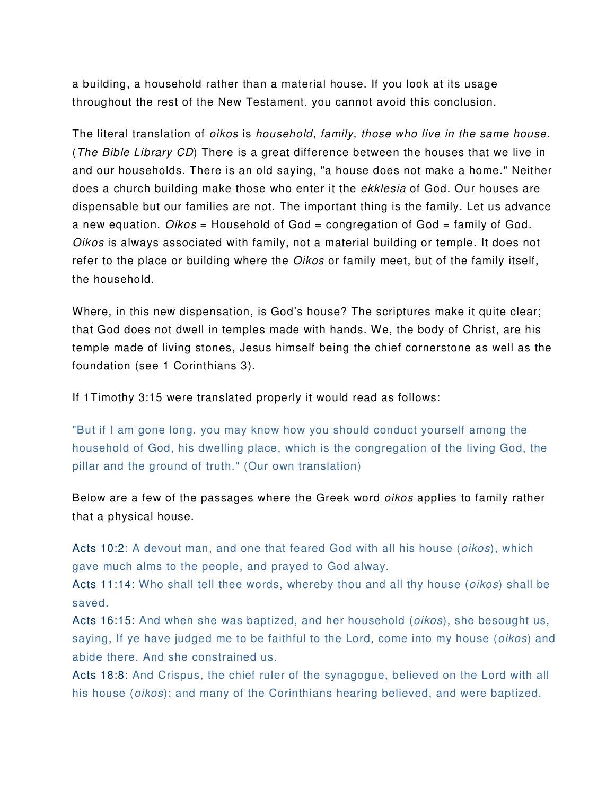a building, a household rather than a material house. If you look at its usage throughout the rest of the New Testament, you cannot avoid this conclusion.

The literal translation of oikos is household, family, those who live in the same house. (The Bible Library CD) There is a great difference between the houses that we live in and our households. There is an old saying, "a house does not make a home." Neither does a church building make those who enter it the ekklesia of God. Our houses are dispensable but our families are not. The important thing is the family. Let us advance a new equation.  $Oikos =$  Household of God = congregation of God = family of God. Oikos is always associated with family, not a material building or temple. It does not refer to the place or building where the *Oikos* or family meet, but of the family itself, the household.

Where, in this new dispensation, is God's house? The scriptures make it quite clear; that God does not dwell in temples made with hands. We, the body of Christ, are his temple made of living stones, Jesus himself being the chief cornerstone as well as the foundation (see 1 Corinthians 3).

If 1Timothy 3:15 were translated properly it would read as follows:

"But if I am gone long, you may know how you should conduct yourself among the household of God, his dwelling place, which is the congregation of the living God, the pillar and the ground of truth." (Our own translation)

Below are a few of the passages where the Greek word *oikos* applies to family rather that a physical house.

Acts 10:2: A devout man, and one that feared God with all his house (*oikos*), which gave much alms to the people, and prayed to God alway.

Acts 11:14: Who shall tell thee words, whereby thou and all thy house (*oikos*) shall be saved.

Acts 16:15: And when she was baptized, and her household *(oikos)*, she besought us, saying, If ye have judged me to be faithful to the Lord, come into my house *(oikos)* and abide there. And she constrained us.

Acts 18:8: And Crispus, the chief ruler of the synagogue, believed on the Lord with all his house (*oikos*); and many of the Corinthians hearing believed, and were baptized.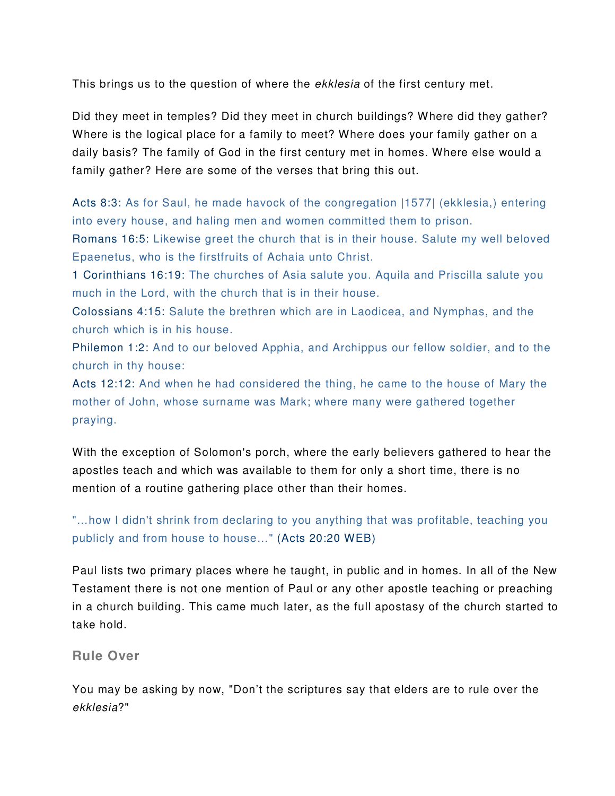This brings us to the question of where the *ekklesia* of the first century met.

Did they meet in temples? Did they meet in church buildings? Where did they gather? Where is the logical place for a family to meet? Where does your family gather on a daily basis? The family of God in the first century met in homes. Where else would a family gather? Here are some of the verses that bring this out.

Acts 8:3: As for Saul, he made havock of the congregation |1577| (ekklesia,) entering into every house, and haling men and women committed them to prison.

Romans 16:5: Likewise greet the church that is in their house. Salute my well beloved Epaenetus, who is the firstfruits of Achaia unto Christ.

1 Corinthians 16:19: The churches of Asia salute you. Aquila and Priscilla salute you much in the Lord, with the church that is in their house.

Colossians 4:15: Salute the brethren which are in Laodicea, and Nymphas, and the church which is in his house.

Philemon 1:2: And to our beloved Apphia, and Archippus our fellow soldier, and to the church in thy house:

Acts 12:12: And when he had considered the thing, he came to the house of Mary the mother of John, whose surname was Mark; where many were gathered together praying.

With the exception of Solomon's porch, where the early believers gathered to hear the apostles teach and which was available to them for only a short time, there is no mention of a routine gathering place other than their homes.

"…how I didn't shrink from declaring to you anything that was profitable, teaching you publicly and from house to house…" (Acts 20:20 WEB)

Paul lists two primary places where he taught, in public and in homes. In all of the New Testament there is not one mention of Paul or any other apostle teaching or preaching in a church building. This came much later, as the full apostasy of the church started to take hold.

**Rule Over** 

You may be asking by now, "Don't the scriptures say that elders are to rule over the ekklesia?"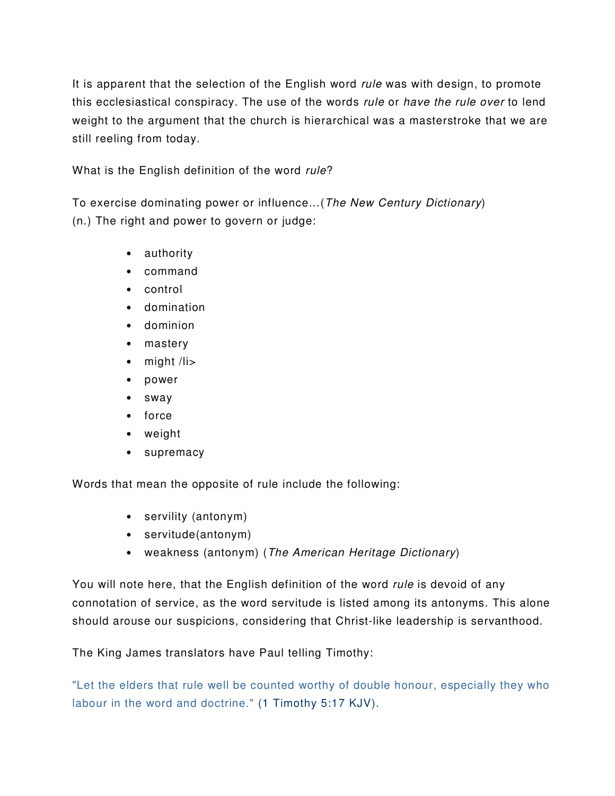It is apparent that the selection of the English word *rule* was with design, to promote this ecclesiastical conspiracy. The use of the words rule or have the rule over to lend weight to the argument that the church is hierarchical was a masterstroke that we are still reeling from today.

What is the English definition of the word rule?

To exercise dominating power or influence…(The New Century Dictionary) (n.) The right and power to govern or judge:

- authority
- command
- control
- domination
- dominion
- mastery
- might /li>
- power
- sway
- force
- weight
- supremacy

Words that mean the opposite of rule include the following:

- servility (antonym)
- servitude(antonym)
- weakness (antonym) (The American Heritage Dictionary)

You will note here, that the English definition of the word *rule* is devoid of any connotation of service, as the word servitude is listed among its antonyms. This alone should arouse our suspicions, considering that Christ-like leadership is servanthood.

The King James translators have Paul telling Timothy:

"Let the elders that rule well be counted worthy of double honour, especially they who labour in the word and doctrine." (1 Timothy 5:17 KJV).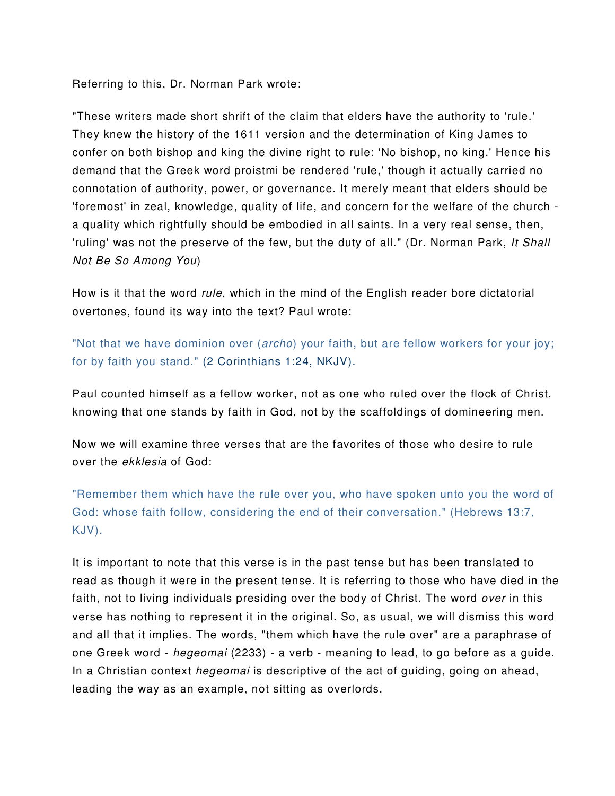Referring to this, Dr. Norman Park wrote:

"These writers made short shrift of the claim that elders have the authority to 'rule.' They knew the history of the 1611 version and the determination of King James to confer on both bishop and king the divine right to rule: 'No bishop, no king.' Hence his demand that the Greek word proistmi be rendered 'rule,' though it actually carried no connotation of authority, power, or governance. It merely meant that elders should be 'foremost' in zeal, knowledge, quality of life, and concern for the welfare of the church a quality which rightfully should be embodied in all saints. In a very real sense, then, 'ruling' was not the preserve of the few, but the duty of all." (Dr. Norman Park, It Shall Not Be So Among You)

How is it that the word *rule*, which in the mind of the English reader bore dictatorial overtones, found its way into the text? Paul wrote:

"Not that we have dominion over (archo) your faith, but are fellow workers for your joy; for by faith you stand." (2 Corinthians 1:24, NKJV).

Paul counted himself as a fellow worker, not as one who ruled over the flock of Christ, knowing that one stands by faith in God, not by the scaffoldings of domineering men.

Now we will examine three verses that are the favorites of those who desire to rule over the ekklesia of God:

"Remember them which have the rule over you, who have spoken unto you the word of God: whose faith follow, considering the end of their conversation." (Hebrews 13:7, KJV).

It is important to note that this verse is in the past tense but has been translated to read as though it were in the present tense. It is referring to those who have died in the faith, not to living individuals presiding over the body of Christ. The word over in this verse has nothing to represent it in the original. So, as usual, we will dismiss this word and all that it implies. The words, "them which have the rule over" are a paraphrase of one Greek word - hegeomai (2233) - a verb - meaning to lead, to go before as a guide. In a Christian context *hegeomai* is descriptive of the act of quiding, going on ahead, leading the way as an example, not sitting as overlords.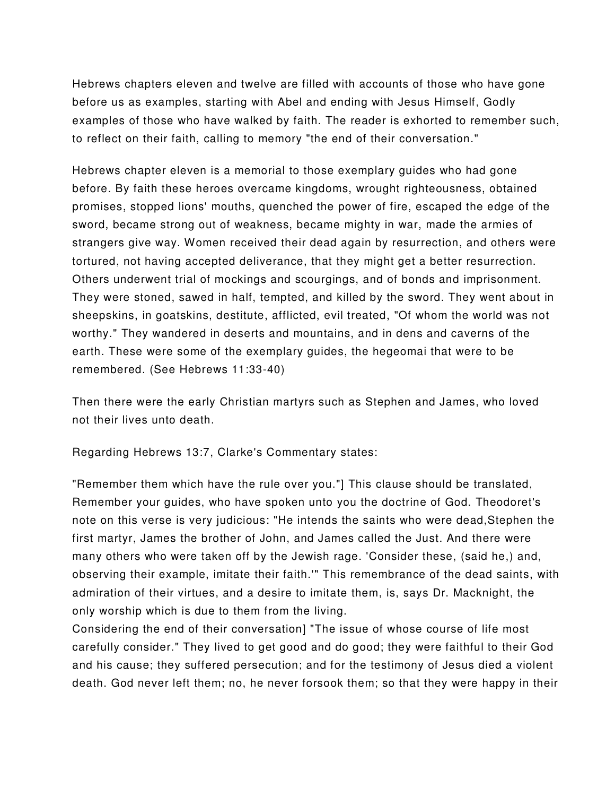Hebrews chapters eleven and twelve are filled with accounts of those who have gone before us as examples, starting with Abel and ending with Jesus Himself, Godly examples of those who have walked by faith. The reader is exhorted to remember such, to reflect on their faith, calling to memory "the end of their conversation."

Hebrews chapter eleven is a memorial to those exemplary guides who had gone before. By faith these heroes overcame kingdoms, wrought righteousness, obtained promises, stopped lions' mouths, quenched the power of fire, escaped the edge of the sword, became strong out of weakness, became mighty in war, made the armies of strangers give way. Women received their dead again by resurrection, and others were tortured, not having accepted deliverance, that they might get a better resurrection. Others underwent trial of mockings and scourgings, and of bonds and imprisonment. They were stoned, sawed in half, tempted, and killed by the sword. They went about in sheepskins, in goatskins, destitute, afflicted, evil treated, "Of whom the world was not worthy." They wandered in deserts and mountains, and in dens and caverns of the earth. These were some of the exemplary guides, the hegeomai that were to be remembered. (See Hebrews 11:33-40)

Then there were the early Christian martyrs such as Stephen and James, who loved not their lives unto death.

Regarding Hebrews 13:7, Clarke's Commentary states:

"Remember them which have the rule over you."] This clause should be translated, Remember your guides, who have spoken unto you the doctrine of God. Theodoret's note on this verse is very judicious: "He intends the saints who were dead,Stephen the first martyr, James the brother of John, and James called the Just. And there were many others who were taken off by the Jewish rage. 'Consider these, (said he,) and, observing their example, imitate their faith.'" This remembrance of the dead saints, with admiration of their virtues, and a desire to imitate them, is, says Dr. Macknight, the only worship which is due to them from the living.

Considering the end of their conversation] "The issue of whose course of life most carefully consider." They lived to get good and do good; they were faithful to their God and his cause; they suffered persecution; and for the testimony of Jesus died a violent death. God never left them; no, he never forsook them; so that they were happy in their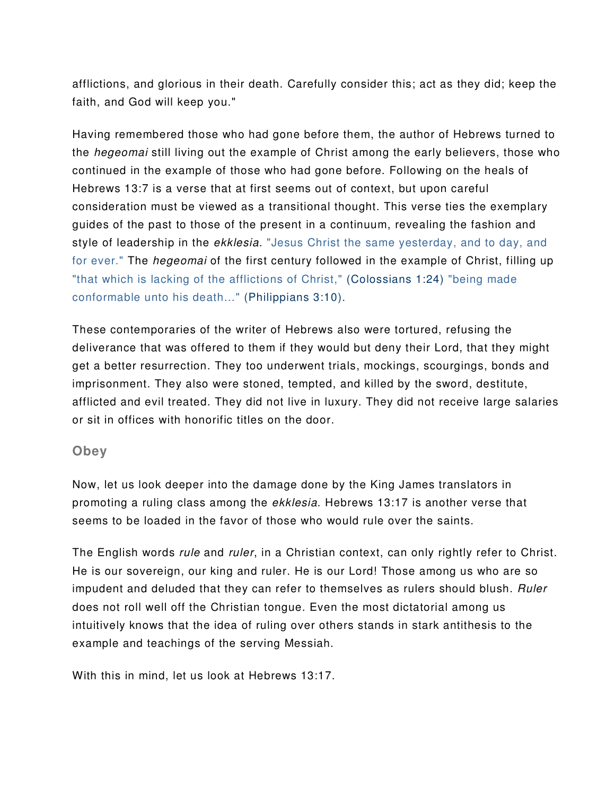afflictions, and glorious in their death. Carefully consider this; act as they did; keep the faith, and God will keep you."

Having remembered those who had gone before them, the author of Hebrews turned to the hegeomai still living out the example of Christ among the early believers, those who continued in the example of those who had gone before. Following on the heals of Hebrews 13:7 is a verse that at first seems out of context, but upon careful consideration must be viewed as a transitional thought. This verse ties the exemplary guides of the past to those of the present in a continuum, revealing the fashion and style of leadership in the *ekklesia*. "Jesus Christ the same yesterday, and to day, and for ever." The *hegeomai* of the first century followed in the example of Christ, filling up "that which is lacking of the afflictions of Christ," (Colossians 1:24) "being made conformable unto his death…" (Philippians 3:10).

These contemporaries of the writer of Hebrews also were tortured, refusing the deliverance that was offered to them if they would but deny their Lord, that they might get a better resurrection. They too underwent trials, mockings, scourgings, bonds and imprisonment. They also were stoned, tempted, and killed by the sword, destitute, afflicted and evil treated. They did not live in luxury. They did not receive large salaries or sit in offices with honorific titles on the door.

## **Obey**

Now, let us look deeper into the damage done by the King James translators in promoting a ruling class among the ekklesia. Hebrews 13:17 is another verse that seems to be loaded in the favor of those who would rule over the saints.

The English words rule and ruler, in a Christian context, can only rightly refer to Christ. He is our sovereign, our king and ruler. He is our Lord! Those among us who are so impudent and deluded that they can refer to themselves as rulers should blush. Ruler does not roll well off the Christian tongue. Even the most dictatorial among us intuitively knows that the idea of ruling over others stands in stark antithesis to the example and teachings of the serving Messiah.

With this in mind, let us look at Hebrews 13:17.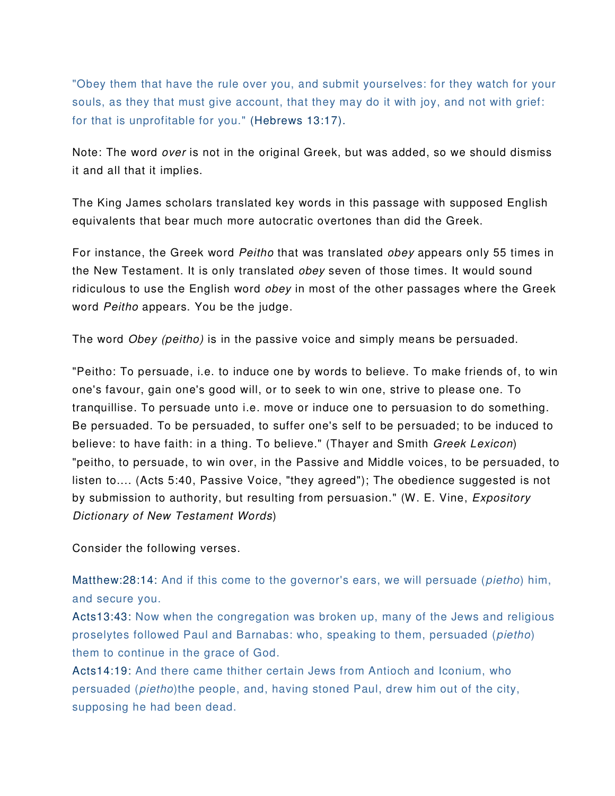"Obey them that have the rule over you, and submit yourselves: for they watch for your souls, as they that must give account, that they may do it with joy, and not with grief: for that is unprofitable for you." (Hebrews 13:17).

Note: The word over is not in the original Greek, but was added, so we should dismiss it and all that it implies.

The King James scholars translated key words in this passage with supposed English equivalents that bear much more autocratic overtones than did the Greek.

For instance, the Greek word Peitho that was translated obey appears only 55 times in the New Testament. It is only translated obey seven of those times. It would sound ridiculous to use the English word *obey* in most of the other passages where the Greek word Peitho appears. You be the judge.

The word *Obey (peitho)* is in the passive voice and simply means be persuaded.

"Peitho: To persuade, i.e. to induce one by words to believe. To make friends of, to win one's favour, gain one's good will, or to seek to win one, strive to please one. To tranquillise. To persuade unto i.e. move or induce one to persuasion to do something. Be persuaded. To be persuaded, to suffer one's self to be persuaded; to be induced to believe: to have faith: in a thing. To believe." (Thayer and Smith Greek Lexicon) "peitho, to persuade, to win over, in the Passive and Middle voices, to be persuaded, to listen to.... (Acts 5:40, Passive Voice, "they agreed"); The obedience suggested is not by submission to authority, but resulting from persuasion." (W. E. Vine, *Expository* Dictionary of New Testament Words)

Consider the following verses.

Matthew:28:14: And if this come to the governor's ears, we will persuade (pietho) him, and secure you.

Acts13:43: Now when the congregation was broken up, many of the Jews and religious proselytes followed Paul and Barnabas: who, speaking to them, persuaded (pietho) them to continue in the grace of God.

Acts14:19: And there came thither certain Jews from Antioch and Iconium, who persuaded (pietho)the people, and, having stoned Paul, drew him out of the city, supposing he had been dead.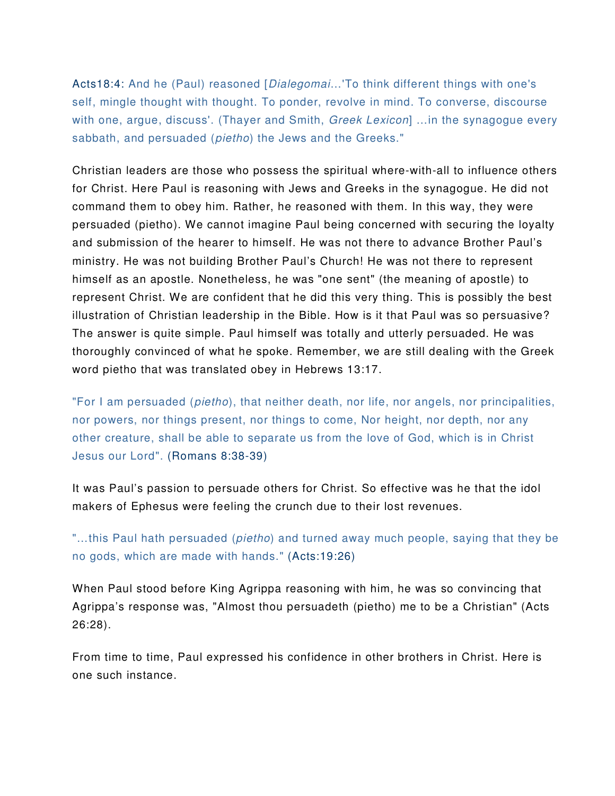Acts18:4: And he (Paul) reasoned [*Dialegomai...*'To think different things with one's self, mingle thought with thought. To ponder, revolve in mind. To converse, discourse with one, argue, discuss'. (Thayer and Smith, *Greek Lexicon*] ... in the synagogue every sabbath, and persuaded (pietho) the Jews and the Greeks."

Christian leaders are those who possess the spiritual where-with-all to influence others for Christ. Here Paul is reasoning with Jews and Greeks in the synagogue. He did not command them to obey him. Rather, he reasoned with them. In this way, they were persuaded (pietho). We cannot imagine Paul being concerned with securing the loyalty and submission of the hearer to himself. He was not there to advance Brother Paul's ministry. He was not building Brother Paul's Church! He was not there to represent himself as an apostle. Nonetheless, he was "one sent" (the meaning of apostle) to represent Christ. We are confident that he did this very thing. This is possibly the best illustration of Christian leadership in the Bible. How is it that Paul was so persuasive? The answer is quite simple. Paul himself was totally and utterly persuaded. He was thoroughly convinced of what he spoke. Remember, we are still dealing with the Greek word pietho that was translated obey in Hebrews 13:17.

"For I am persuaded (pietho), that neither death, nor life, nor angels, nor principalities, nor powers, nor things present, nor things to come, Nor height, nor depth, nor any other creature, shall be able to separate us from the love of God, which is in Christ Jesus our Lord". (Romans 8:38-39)

It was Paul's passion to persuade others for Christ. So effective was he that the idol makers of Ephesus were feeling the crunch due to their lost revenues.

"...this Paul hath persuaded *(pietho)* and turned away much people, saying that they be no gods, which are made with hands." (Acts:19:26)

When Paul stood before King Agrippa reasoning with him, he was so convincing that Agrippa's response was, "Almost thou persuadeth (pietho) me to be a Christian" (Acts 26:28).

From time to time, Paul expressed his confidence in other brothers in Christ. Here is one such instance.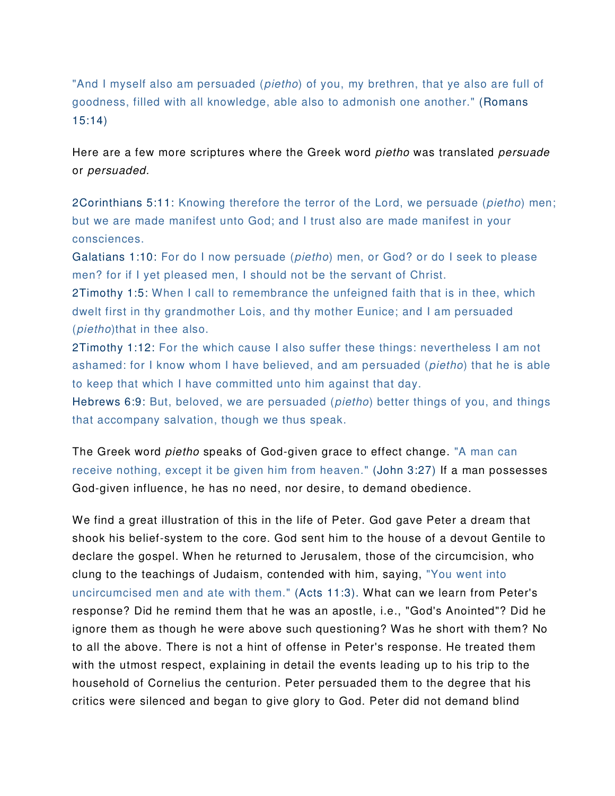"And I myself also am persuaded (*pietho*) of you, my brethren, that ye also are full of goodness, filled with all knowledge, able also to admonish one another." (Romans 15:14)

Here are a few more scriptures where the Greek word *pietho* was translated *persuade* or persuaded.

2Corinthians 5:11: Knowing therefore the terror of the Lord, we persuade (pietho) men; but we are made manifest unto God; and I trust also are made manifest in your consciences.

Galatians 1:10: For do I now persuade (pietho) men, or God? or do I seek to please men? for if I yet pleased men, I should not be the servant of Christ.

2Timothy 1:5: When I call to remembrance the unfeigned faith that is in thee, which dwelt first in thy grandmother Lois, and thy mother Eunice; and I am persuaded (pietho)that in thee also.

2Timothy 1:12: For the which cause I also suffer these things: nevertheless I am not ashamed: for I know whom I have believed, and am persuaded (pietho) that he is able to keep that which I have committed unto him against that day.

Hebrews 6:9: But, beloved, we are persuaded (pietho) better things of you, and things that accompany salvation, though we thus speak.

The Greek word pietho speaks of God-given grace to effect change. "A man can receive nothing, except it be given him from heaven." (John 3:27) If a man possesses God-given influence, he has no need, nor desire, to demand obedience.

We find a great illustration of this in the life of Peter. God gave Peter a dream that shook his belief-system to the core. God sent him to the house of a devout Gentile to declare the gospel. When he returned to Jerusalem, those of the circumcision, who clung to the teachings of Judaism, contended with him, saying, "You went into uncircumcised men and ate with them." (Acts 11:3). What can we learn from Peter's response? Did he remind them that he was an apostle, i.e., "God's Anointed"? Did he ignore them as though he were above such questioning? Was he short with them? No to all the above. There is not a hint of offense in Peter's response. He treated them with the utmost respect, explaining in detail the events leading up to his trip to the household of Cornelius the centurion. Peter persuaded them to the degree that his critics were silenced and began to give glory to God. Peter did not demand blind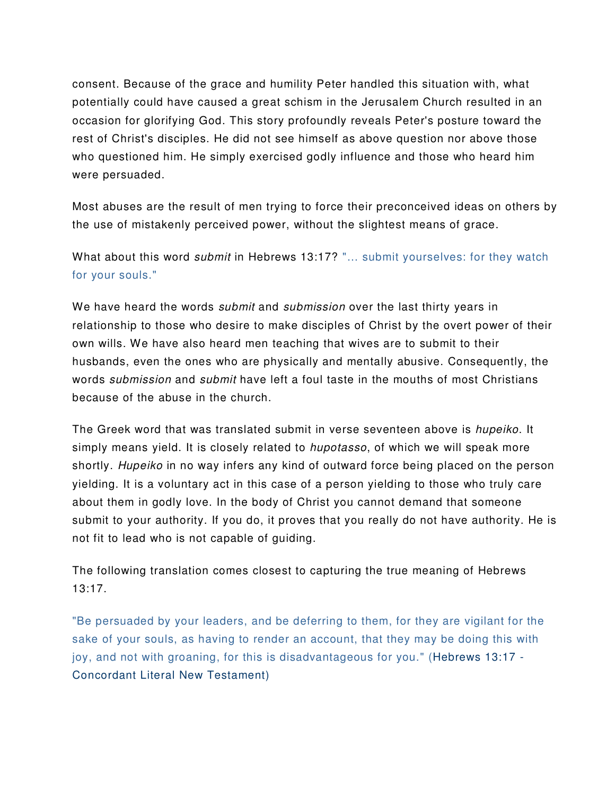consent. Because of the grace and humility Peter handled this situation with, what potentially could have caused a great schism in the Jerusalem Church resulted in an occasion for glorifying God. This story profoundly reveals Peter's posture toward the rest of Christ's disciples. He did not see himself as above question nor above those who questioned him. He simply exercised godly influence and those who heard him were persuaded.

Most abuses are the result of men trying to force their preconceived ideas on others by the use of mistakenly perceived power, without the slightest means of grace.

What about this word *submit* in Hebrews 13:17? "... submit yourselves: for they watch for your souls."

We have heard the words *submit* and *submission* over the last thirty years in relationship to those who desire to make disciples of Christ by the overt power of their own wills. We have also heard men teaching that wives are to submit to their husbands, even the ones who are physically and mentally abusive. Consequently, the words *submission* and *submit* have left a foul taste in the mouths of most Christians because of the abuse in the church.

The Greek word that was translated submit in verse seventeen above is hupeiko. It simply means yield. It is closely related to hupotasso, of which we will speak more shortly. Hupeiko in no way infers any kind of outward force being placed on the person yielding. It is a voluntary act in this case of a person yielding to those who truly care about them in godly love. In the body of Christ you cannot demand that someone submit to your authority. If you do, it proves that you really do not have authority. He is not fit to lead who is not capable of guiding.

The following translation comes closest to capturing the true meaning of Hebrews 13:17.

"Be persuaded by your leaders, and be deferring to them, for they are vigilant for the sake of your souls, as having to render an account, that they may be doing this with joy, and not with groaning, for this is disadvantageous for you." (Hebrews 13:17 - Concordant Literal New Testament)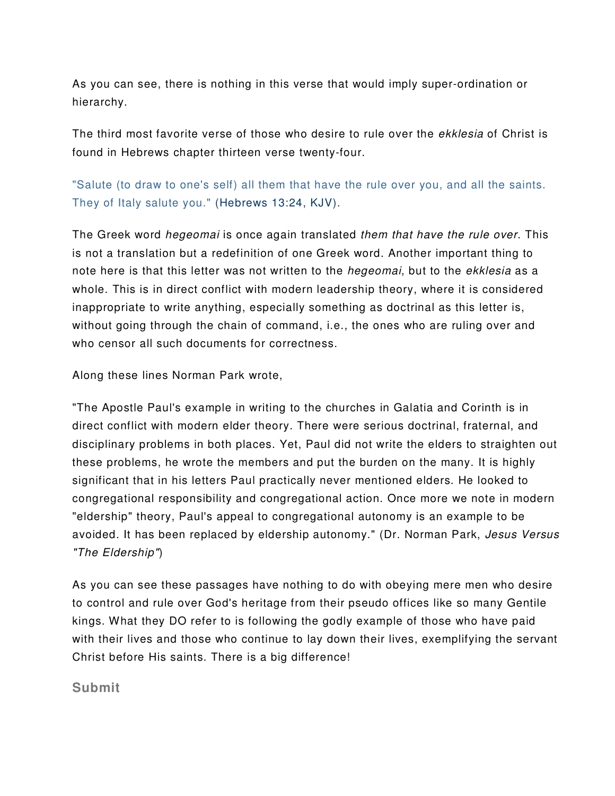As you can see, there is nothing in this verse that would imply super-ordination or hierarchy.

The third most favorite verse of those who desire to rule over the ekklesia of Christ is found in Hebrews chapter thirteen verse twenty-four.

"Salute (to draw to one's self) all them that have the rule over you, and all the saints. They of Italy salute you." (Hebrews 13:24, KJV).

The Greek word hegeomai is once again translated them that have the rule over. This is not a translation but a redefinition of one Greek word. Another important thing to note here is that this letter was not written to the *hegeomai*, but to the *ekklesia* as a whole. This is in direct conflict with modern leadership theory, where it is considered inappropriate to write anything, especially something as doctrinal as this letter is, without going through the chain of command, i.e., the ones who are ruling over and who censor all such documents for correctness.

Along these lines Norman Park wrote,

"The Apostle Paul's example in writing to the churches in Galatia and Corinth is in direct conflict with modern elder theory. There were serious doctrinal, fraternal, and disciplinary problems in both places. Yet, Paul did not write the elders to straighten out these problems, he wrote the members and put the burden on the many. It is highly significant that in his letters Paul practically never mentioned elders. He looked to congregational responsibility and congregational action. Once more we note in modern "eldership" theory, Paul's appeal to congregational autonomy is an example to be avoided. It has been replaced by eldership autonomy." (Dr. Norman Park, Jesus Versus "The Eldership")

As you can see these passages have nothing to do with obeying mere men who desire to control and rule over God's heritage from their pseudo offices like so many Gentile kings. What they DO refer to is following the godly example of those who have paid with their lives and those who continue to lay down their lives, exemplifying the servant Christ before His saints. There is a big difference!

## **Submit**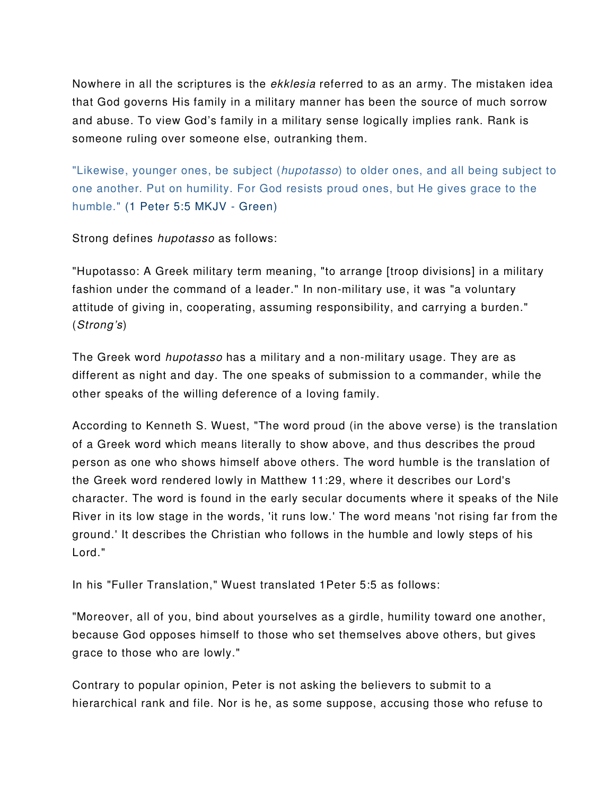Nowhere in all the scriptures is the ekklesia referred to as an army. The mistaken idea that God governs His family in a military manner has been the source of much sorrow and abuse. To view God's family in a military sense logically implies rank. Rank is someone ruling over someone else, outranking them.

"Likewise, younger ones, be subject (hupotasso) to older ones, and all being subject to one another. Put on humility. For God resists proud ones, but He gives grace to the humble." (1 Peter 5:5 MKJV - Green)

Strong defines hupotasso as follows:

"Hupotasso: A Greek military term meaning, "to arrange [troop divisions] in a military fashion under the command of a leader." In non-military use, it was "a voluntary attitude of giving in, cooperating, assuming responsibility, and carrying a burden." (Strong's)

The Greek word *hupotasso* has a military and a non-military usage. They are as different as night and day. The one speaks of submission to a commander, while the other speaks of the willing deference of a loving family.

According to Kenneth S. Wuest, "The word proud (in the above verse) is the translation of a Greek word which means literally to show above, and thus describes the proud person as one who shows himself above others. The word humble is the translation of the Greek word rendered lowly in Matthew 11:29, where it describes our Lord's character. The word is found in the early secular documents where it speaks of the Nile River in its low stage in the words, 'it runs low.' The word means 'not rising far from the ground.' It describes the Christian who follows in the humble and lowly steps of his Lord."

In his "Fuller Translation," Wuest translated 1Peter 5:5 as follows:

"Moreover, all of you, bind about yourselves as a girdle, humility toward one another, because God opposes himself to those who set themselves above others, but gives grace to those who are lowly."

Contrary to popular opinion, Peter is not asking the believers to submit to a hierarchical rank and file. Nor is he, as some suppose, accusing those who refuse to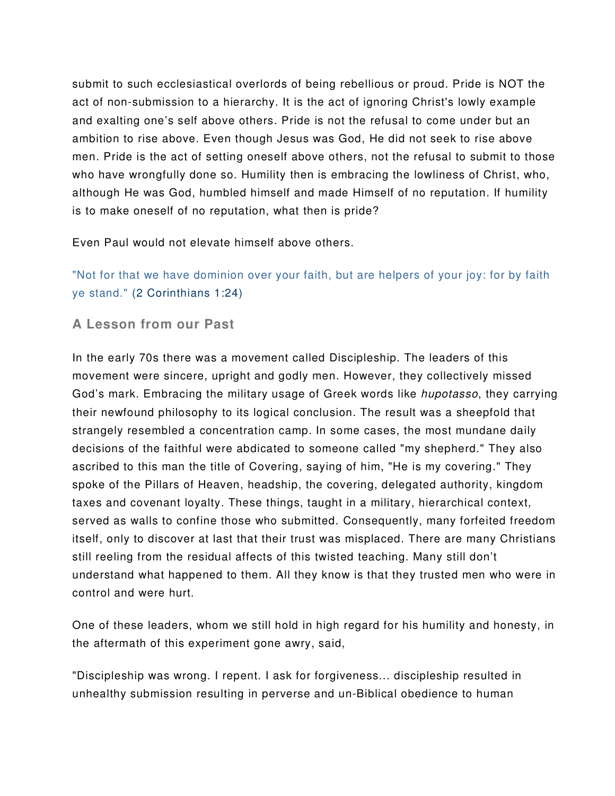submit to such ecclesiastical overlords of being rebellious or proud. Pride is NOT the act of non-submission to a hierarchy. It is the act of ignoring Christ's lowly example and exalting one's self above others. Pride is not the refusal to come under but an ambition to rise above. Even though Jesus was God, He did not seek to rise above men. Pride is the act of setting oneself above others, not the refusal to submit to those who have wrongfully done so. Humility then is embracing the lowliness of Christ, who, although He was God, humbled himself and made Himself of no reputation. If humility is to make oneself of no reputation, what then is pride?

Even Paul would not elevate himself above others.

"Not for that we have dominion over your faith, but are helpers of your joy: for by faith ye stand." (2 Corinthians 1:24)

**A Lesson from our Past** 

In the early 70s there was a movement called Discipleship. The leaders of this movement were sincere, upright and godly men. However, they collectively missed God's mark. Embracing the military usage of Greek words like *hupotasso*, they carrying their newfound philosophy to its logical conclusion. The result was a sheepfold that strangely resembled a concentration camp. In some cases, the most mundane daily decisions of the faithful were abdicated to someone called "my shepherd." They also ascribed to this man the title of Covering, saying of him, "He is my covering." They spoke of the Pillars of Heaven, headship, the covering, delegated authority, kingdom taxes and covenant loyalty. These things, taught in a military, hierarchical context, served as walls to confine those who submitted. Consequently, many forfeited freedom itself, only to discover at last that their trust was misplaced. There are many Christians still reeling from the residual affects of this twisted teaching. Many still don't understand what happened to them. All they know is that they trusted men who were in control and were hurt.

One of these leaders, whom we still hold in high regard for his humility and honesty, in the aftermath of this experiment gone awry, said,

"Discipleship was wrong. I repent. I ask for forgiveness... discipleship resulted in unhealthy submission resulting in perverse and un-Biblical obedience to human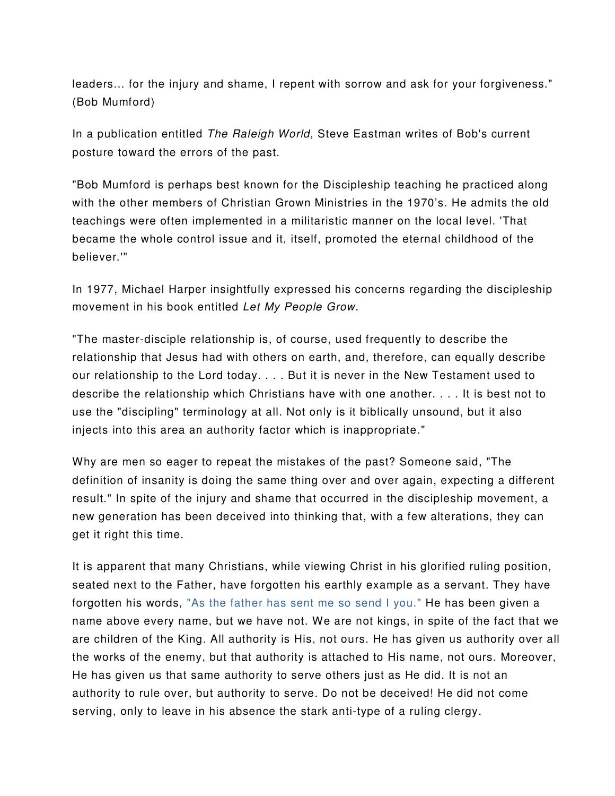leaders… for the injury and shame, I repent with sorrow and ask for your forgiveness." (Bob Mumford)

In a publication entitled The Raleigh World, Steve Eastman writes of Bob's current posture toward the errors of the past.

"Bob Mumford is perhaps best known for the Discipleship teaching he practiced along with the other members of Christian Grown Ministries in the 1970's. He admits the old teachings were often implemented in a militaristic manner on the local level. 'That became the whole control issue and it, itself, promoted the eternal childhood of the believer.'"

In 1977, Michael Harper insightfully expressed his concerns regarding the discipleship movement in his book entitled Let My People Grow.

"The master-disciple relationship is, of course, used frequently to describe the relationship that Jesus had with others on earth, and, therefore, can equally describe our relationship to the Lord today. . . . But it is never in the New Testament used to describe the relationship which Christians have with one another. . . . It is best not to use the "discipling" terminology at all. Not only is it biblically unsound, but it also injects into this area an authority factor which is inappropriate."

Why are men so eager to repeat the mistakes of the past? Someone said, "The definition of insanity is doing the same thing over and over again, expecting a different result." In spite of the injury and shame that occurred in the discipleship movement, a new generation has been deceived into thinking that, with a few alterations, they can get it right this time.

It is apparent that many Christians, while viewing Christ in his glorified ruling position, seated next to the Father, have forgotten his earthly example as a servant. They have forgotten his words, "As the father has sent me so send I you." He has been given a name above every name, but we have not. We are not kings, in spite of the fact that we are children of the King. All authority is His, not ours. He has given us authority over all the works of the enemy, but that authority is attached to His name, not ours. Moreover, He has given us that same authority to serve others just as He did. It is not an authority to rule over, but authority to serve. Do not be deceived! He did not come serving, only to leave in his absence the stark anti-type of a ruling clergy.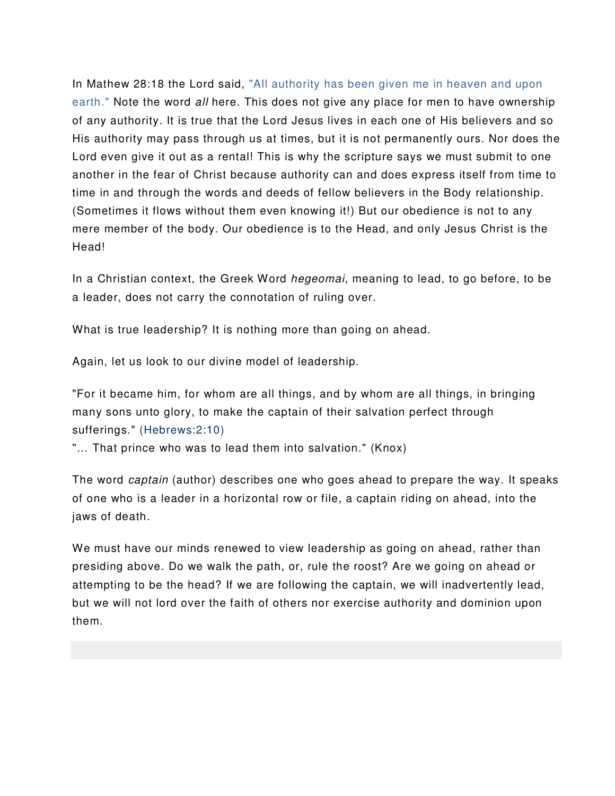In Mathew 28:18 the Lord said, "All authority has been given me in heaven and upon earth." Note the word all here. This does not give any place for men to have ownership of any authority. It is true that the Lord Jesus lives in each one of His believers and so His authority may pass through us at times, but it is not permanently ours. Nor does the Lord even give it out as a rental! This is why the scripture says we must submit to one another in the fear of Christ because authority can and does express itself from time to time in and through the words and deeds of fellow believers in the Body relationship. (Sometimes it flows without them even knowing it!) But our obedience is not to any mere member of the body. Our obedience is to the Head, and only Jesus Christ is the Head!

In a Christian context, the Greek Word *hegeomai*, meaning to lead, to go before, to be a leader, does not carry the connotation of ruling over.

What is true leadership? It is nothing more than going on ahead.

Again, let us look to our divine model of leadership.

"For it became him, for whom are all things, and by whom are all things, in bringing many sons unto glory, to make the captain of their salvation perfect through sufferings." (Hebrews:2:10)

"… That prince who was to lead them into salvation." (Knox)

The word *captain* (author) describes one who goes ahead to prepare the way. It speaks of one who is a leader in a horizontal row or file, a captain riding on ahead, into the jaws of death.

We must have our minds renewed to view leadership as going on ahead, rather than presiding above. Do we walk the path, or, rule the roost? Are we going on ahead or attempting to be the head? If we are following the captain, we will inadvertently lead, but we will not lord over the faith of others nor exercise authority and dominion upon them.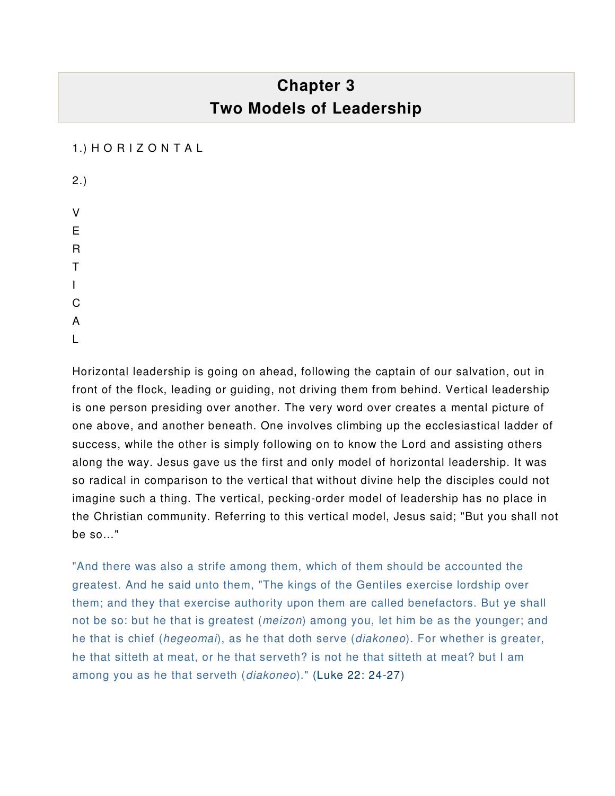# **Chapter 3 Two Models of Leadership**

#### 1.) H O R I Z O N T A L

| 2.)          |  |  |
|--------------|--|--|
| V            |  |  |
| E            |  |  |
| $\mathsf{R}$ |  |  |
| T            |  |  |
| I            |  |  |
| C<br>A       |  |  |
|              |  |  |
| l            |  |  |

Horizontal leadership is going on ahead, following the captain of our salvation, out in front of the flock, leading or guiding, not driving them from behind. Vertical leadership is one person presiding over another. The very word over creates a mental picture of one above, and another beneath. One involves climbing up the ecclesiastical ladder of success, while the other is simply following on to know the Lord and assisting others along the way. Jesus gave us the first and only model of horizontal leadership. It was so radical in comparison to the vertical that without divine help the disciples could not imagine such a thing. The vertical, pecking-order model of leadership has no place in the Christian community. Referring to this vertical model, Jesus said; "But you shall not be so…"

"And there was also a strife among them, which of them should be accounted the greatest. And he said unto them, "The kings of the Gentiles exercise lordship over them; and they that exercise authority upon them are called benefactors. But ye shall not be so: but he that is greatest (*meizon*) among you, let him be as the younger; and he that is chief (hegeomai), as he that doth serve (diakoneo). For whether is greater, he that sitteth at meat, or he that serveth? is not he that sitteth at meat? but I am among you as he that serveth (diakoneo)." (Luke 22: 24-27)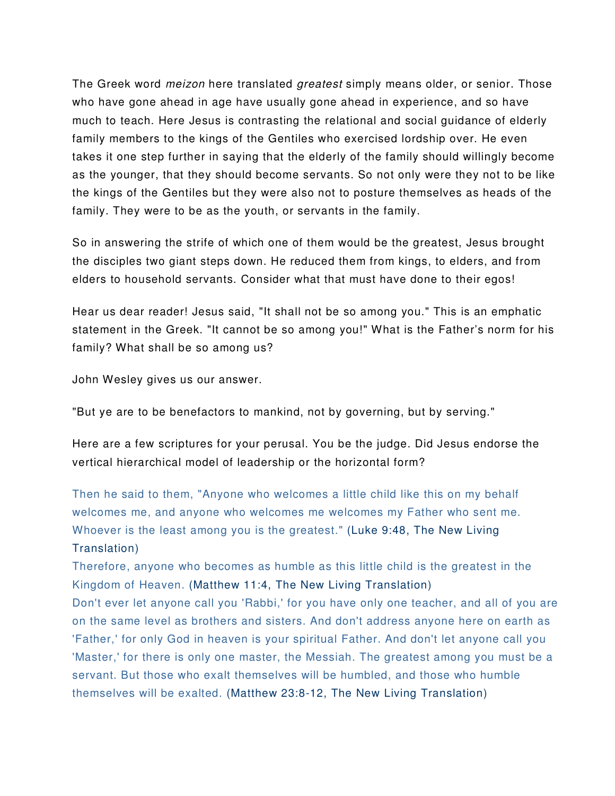The Greek word *meizon* here translated *greatest* simply means older, or senior. Those who have gone ahead in age have usually gone ahead in experience, and so have much to teach. Here Jesus is contrasting the relational and social guidance of elderly family members to the kings of the Gentiles who exercised lordship over. He even takes it one step further in saying that the elderly of the family should willingly become as the younger, that they should become servants. So not only were they not to be like the kings of the Gentiles but they were also not to posture themselves as heads of the family. They were to be as the youth, or servants in the family.

So in answering the strife of which one of them would be the greatest, Jesus brought the disciples two giant steps down. He reduced them from kings, to elders, and from elders to household servants. Consider what that must have done to their egos!

Hear us dear reader! Jesus said, "It shall not be so among you." This is an emphatic statement in the Greek. "It cannot be so among you!" What is the Father's norm for his family? What shall be so among us?

John Wesley gives us our answer.

"But ye are to be benefactors to mankind, not by governing, but by serving."

Here are a few scriptures for your perusal. You be the judge. Did Jesus endorse the vertical hierarchical model of leadership or the horizontal form?

Then he said to them, "Anyone who welcomes a little child like this on my behalf welcomes me, and anyone who welcomes me welcomes my Father who sent me. Whoever is the least among you is the greatest." (Luke 9:48, The New Living Translation)

Therefore, anyone who becomes as humble as this little child is the greatest in the Kingdom of Heaven. (Matthew 11:4, The New Living Translation)

Don't ever let anyone call you 'Rabbi,' for you have only one teacher, and all of you are on the same level as brothers and sisters. And don't address anyone here on earth as 'Father,' for only God in heaven is your spiritual Father. And don't let anyone call you 'Master,' for there is only one master, the Messiah. The greatest among you must be a servant. But those who exalt themselves will be humbled, and those who humble themselves will be exalted. (Matthew 23:8-12, The New Living Translation)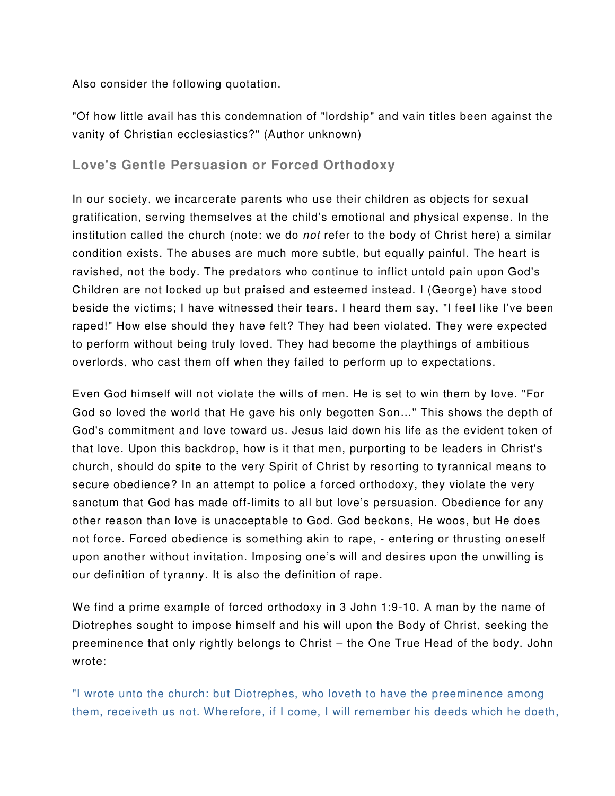Also consider the following quotation.

"Of how little avail has this condemnation of "lordship" and vain titles been against the vanity of Christian ecclesiastics?" (Author unknown)

## **Love's Gentle Persuasion or Forced Orthodoxy**

In our society, we incarcerate parents who use their children as objects for sexual gratification, serving themselves at the child's emotional and physical expense. In the institution called the church (note: we do not refer to the body of Christ here) a similar condition exists. The abuses are much more subtle, but equally painful. The heart is ravished, not the body. The predators who continue to inflict untold pain upon God's Children are not locked up but praised and esteemed instead. I (George) have stood beside the victims; I have witnessed their tears. I heard them say, "I feel like I've been raped!" How else should they have felt? They had been violated. They were expected to perform without being truly loved. They had become the playthings of ambitious overlords, who cast them off when they failed to perform up to expectations.

Even God himself will not violate the wills of men. He is set to win them by love. "For God so loved the world that He gave his only begotten Son…" This shows the depth of God's commitment and love toward us. Jesus laid down his life as the evident token of that love. Upon this backdrop, how is it that men, purporting to be leaders in Christ's church, should do spite to the very Spirit of Christ by resorting to tyrannical means to secure obedience? In an attempt to police a forced orthodoxy, they violate the very sanctum that God has made off-limits to all but love's persuasion. Obedience for any other reason than love is unacceptable to God. God beckons, He woos, but He does not force. Forced obedience is something akin to rape, - entering or thrusting oneself upon another without invitation. Imposing one's will and desires upon the unwilling is our definition of tyranny. It is also the definition of rape.

We find a prime example of forced orthodoxy in 3 John 1:9-10. A man by the name of Diotrephes sought to impose himself and his will upon the Body of Christ, seeking the preeminence that only rightly belongs to Christ – the One True Head of the body. John wrote:

"I wrote unto the church: but Diotrephes, who loveth to have the preeminence among them, receiveth us not. Wherefore, if I come, I will remember his deeds which he doeth,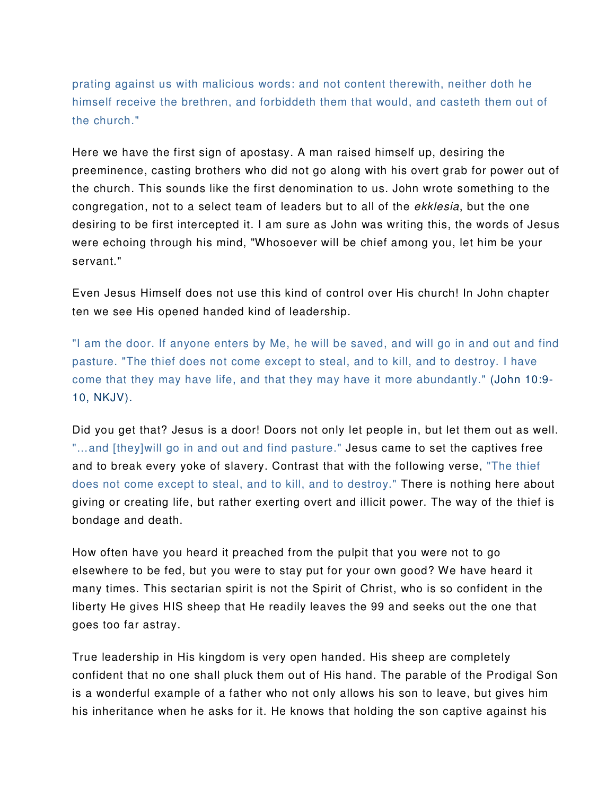prating against us with malicious words: and not content therewith, neither doth he himself receive the brethren, and forbiddeth them that would, and casteth them out of the church."

Here we have the first sign of apostasy. A man raised himself up, desiring the preeminence, casting brothers who did not go along with his overt grab for power out of the church. This sounds like the first denomination to us. John wrote something to the congregation, not to a select team of leaders but to all of the ekklesia, but the one desiring to be first intercepted it. I am sure as John was writing this, the words of Jesus were echoing through his mind, "Whosoever will be chief among you, let him be your servant."

Even Jesus Himself does not use this kind of control over His church! In John chapter ten we see His opened handed kind of leadership.

"I am the door. If anyone enters by Me, he will be saved, and will go in and out and find pasture. "The thief does not come except to steal, and to kill, and to destroy. I have come that they may have life, and that they may have it more abundantly." (John 10:9- 10, NKJV).

Did you get that? Jesus is a door! Doors not only let people in, but let them out as well. "...and [they]will go in and out and find pasture." Jesus came to set the captives free and to break every yoke of slavery. Contrast that with the following verse, "The thief does not come except to steal, and to kill, and to destroy." There is nothing here about giving or creating life, but rather exerting overt and illicit power. The way of the thief is bondage and death.

How often have you heard it preached from the pulpit that you were not to go elsewhere to be fed, but you were to stay put for your own good? We have heard it many times. This sectarian spirit is not the Spirit of Christ, who is so confident in the liberty He gives HIS sheep that He readily leaves the 99 and seeks out the one that goes too far astray.

True leadership in His kingdom is very open handed. His sheep are completely confident that no one shall pluck them out of His hand. The parable of the Prodigal Son is a wonderful example of a father who not only allows his son to leave, but gives him his inheritance when he asks for it. He knows that holding the son captive against his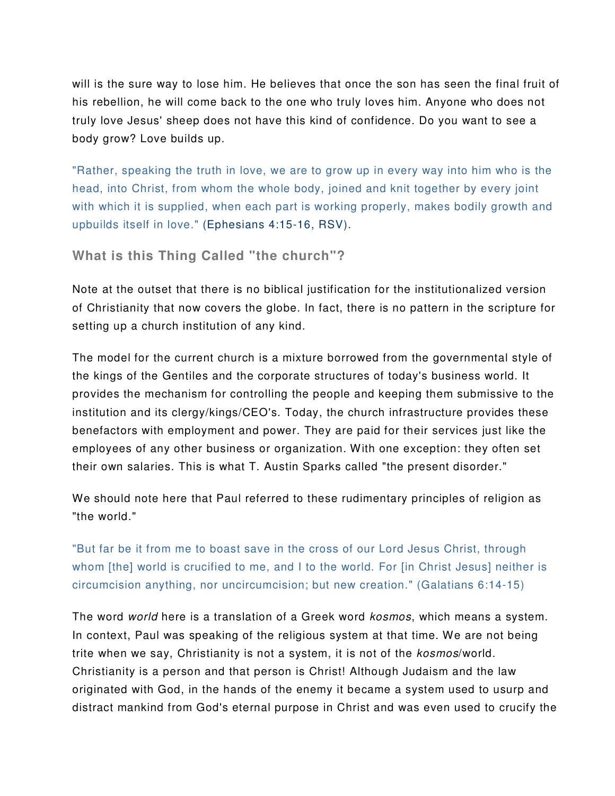will is the sure way to lose him. He believes that once the son has seen the final fruit of his rebellion, he will come back to the one who truly loves him. Anyone who does not truly love Jesus' sheep does not have this kind of confidence. Do you want to see a body grow? Love builds up.

"Rather, speaking the truth in love, we are to grow up in every way into him who is the head, into Christ, from whom the whole body, joined and knit together by every joint with which it is supplied, when each part is working properly, makes bodily growth and upbuilds itself in love." (Ephesians 4:15-16, RSV).

```
What is this Thing Called "the church"?
```
Note at the outset that there is no biblical justification for the institutionalized version of Christianity that now covers the globe. In fact, there is no pattern in the scripture for setting up a church institution of any kind.

The model for the current church is a mixture borrowed from the governmental style of the kings of the Gentiles and the corporate structures of today's business world. It provides the mechanism for controlling the people and keeping them submissive to the institution and its clergy/kings/CEO's. Today, the church infrastructure provides these benefactors with employment and power. They are paid for their services just like the employees of any other business or organization. With one exception: they often set their own salaries. This is what T. Austin Sparks called "the present disorder."

We should note here that Paul referred to these rudimentary principles of religion as "the world."

"But far be it from me to boast save in the cross of our Lord Jesus Christ, through whom [the] world is crucified to me, and I to the world. For [in Christ Jesus] neither is circumcision anything, nor uncircumcision; but new creation." (Galatians 6:14-15)

The word world here is a translation of a Greek word kosmos, which means a system. In context, Paul was speaking of the religious system at that time. We are not being trite when we say, Christianity is not a system, it is not of the kosmos/world. Christianity is a person and that person is Christ! Although Judaism and the law originated with God, in the hands of the enemy it became a system used to usurp and distract mankind from God's eternal purpose in Christ and was even used to crucify the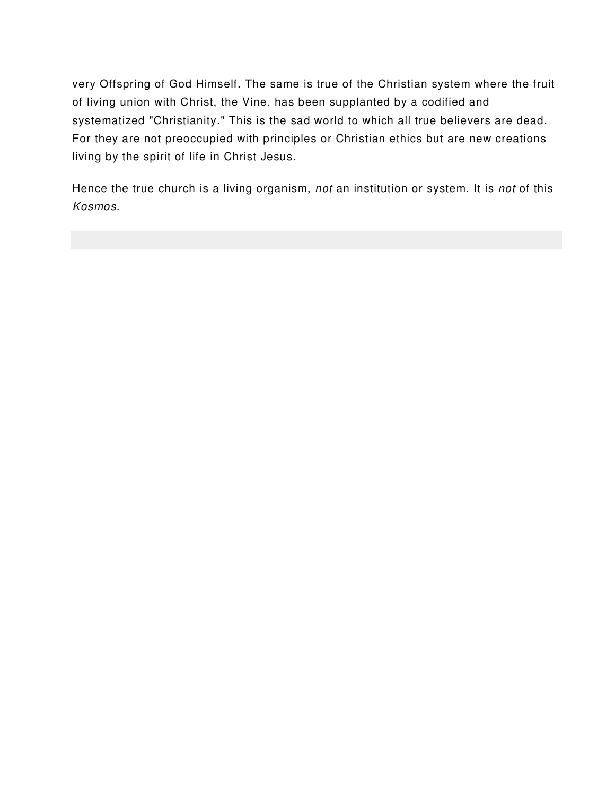very Offspring of God Himself. The same is true of the Christian system where the fruit of living union with Christ, the Vine, has been supplanted by a codified and systematized "Christianity." This is the sad world to which all true believers are dead. For they are not preoccupied with principles or Christian ethics but are new creations living by the spirit of life in Christ Jesus.

Hence the true church is a living organism, not an institution or system. It is not of this Kosmos.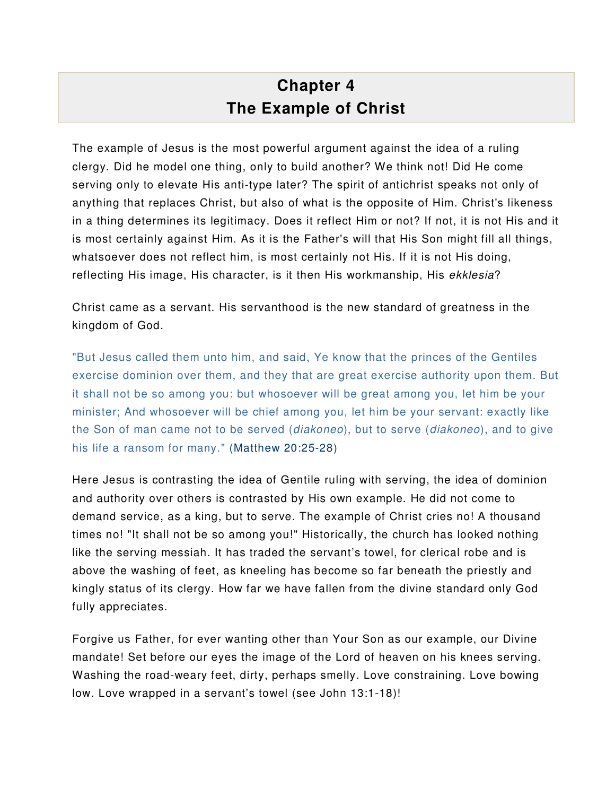# **Chapter 4 The Example of Christ**

The example of Jesus is the most powerful argument against the idea of a ruling clergy. Did he model one thing, only to build another? We think not! Did He come serving only to elevate His anti-type later? The spirit of antichrist speaks not only of anything that replaces Christ, but also of what is the opposite of Him. Christ's likeness in a thing determines its legitimacy. Does it reflect Him or not? If not, it is not His and it is most certainly against Him. As it is the Father's will that His Son might fill all things, whatsoever does not reflect him, is most certainly not His. If it is not His doing, reflecting His image, His character, is it then His workmanship, His ekklesia?

Christ came as a servant. His servanthood is the new standard of greatness in the kingdom of God.

"But Jesus called them unto him, and said, Ye know that the princes of the Gentiles exercise dominion over them, and they that are great exercise authority upon them. But it shall not be so among you: but whosoever will be great among you, let him be your minister; And whosoever will be chief among you, let him be your servant: exactly like the Son of man came not to be served (diakoneo), but to serve (diakoneo), and to give his life a ransom for many." (Matthew 20:25-28)

Here Jesus is contrasting the idea of Gentile ruling with serving, the idea of dominion and authority over others is contrasted by His own example. He did not come to demand service, as a king, but to serve. The example of Christ cries no! A thousand times no! "It shall not be so among you!" Historically, the church has looked nothing like the serving messiah. It has traded the servant's towel, for clerical robe and is above the washing of feet, as kneeling has become so far beneath the priestly and kingly status of its clergy. How far we have fallen from the divine standard only God fully appreciates.

Forgive us Father, for ever wanting other than Your Son as our example, our Divine mandate! Set before our eyes the image of the Lord of heaven on his knees serving. Washing the road-weary feet, dirty, perhaps smelly. Love constraining. Love bowing low. Love wrapped in a servant's towel (see John 13:1-18)!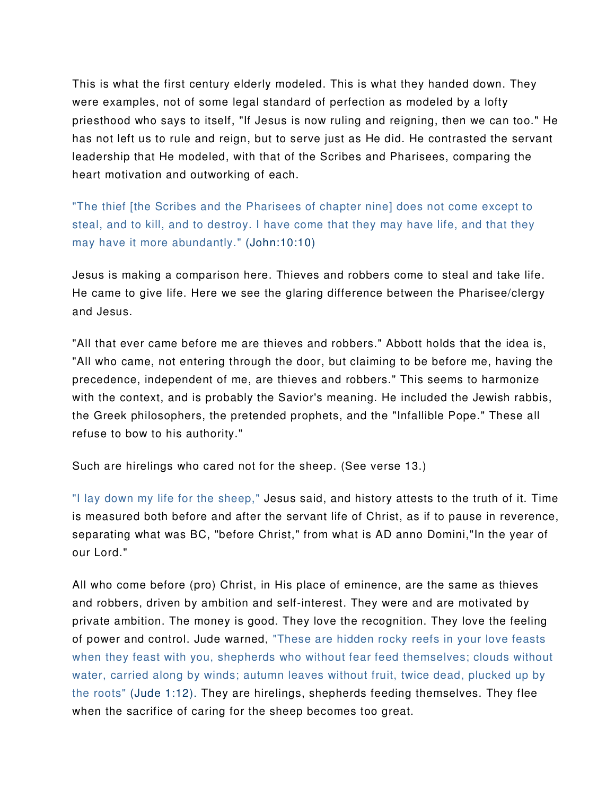This is what the first century elderly modeled. This is what they handed down. They were examples, not of some legal standard of perfection as modeled by a lofty priesthood who says to itself, "If Jesus is now ruling and reigning, then we can too." He has not left us to rule and reign, but to serve just as He did. He contrasted the servant leadership that He modeled, with that of the Scribes and Pharisees, comparing the heart motivation and outworking of each.

"The thief [the Scribes and the Pharisees of chapter nine] does not come except to steal, and to kill, and to destroy. I have come that they may have life, and that they may have it more abundantly." (John:10:10)

Jesus is making a comparison here. Thieves and robbers come to steal and take life. He came to give life. Here we see the glaring difference between the Pharisee/clergy and Jesus.

"All that ever came before me are thieves and robbers." Abbott holds that the idea is, "All who came, not entering through the door, but claiming to be before me, having the precedence, independent of me, are thieves and robbers." This seems to harmonize with the context, and is probably the Savior's meaning. He included the Jewish rabbis, the Greek philosophers, the pretended prophets, and the "Infallible Pope." These all refuse to bow to his authority."

Such are hirelings who cared not for the sheep. (See verse 13.)

"I lay down my life for the sheep," Jesus said, and history attests to the truth of it. Time is measured both before and after the servant life of Christ, as if to pause in reverence, separating what was BC, "before Christ," from what is AD anno Domini,"In the year of our Lord."

All who come before (pro) Christ, in His place of eminence, are the same as thieves and robbers, driven by ambition and self-interest. They were and are motivated by private ambition. The money is good. They love the recognition. They love the feeling of power and control. Jude warned, "These are hidden rocky reefs in your love feasts when they feast with you, shepherds who without fear feed themselves; clouds without water, carried along by winds; autumn leaves without fruit, twice dead, plucked up by the roots" (Jude 1:12). They are hirelings, shepherds feeding themselves. They flee when the sacrifice of caring for the sheep becomes too great.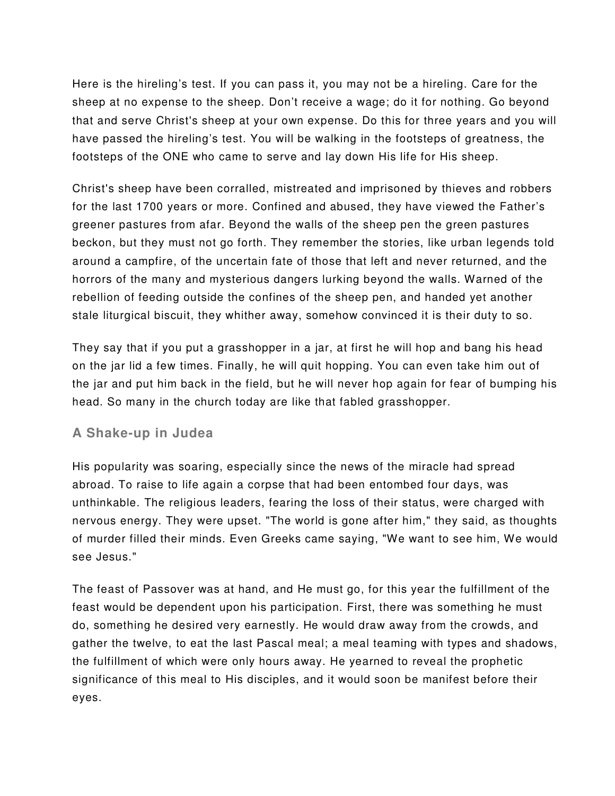Here is the hireling's test. If you can pass it, you may not be a hireling. Care for the sheep at no expense to the sheep. Don't receive a wage; do it for nothing. Go beyond that and serve Christ's sheep at your own expense. Do this for three years and you will have passed the hireling's test. You will be walking in the footsteps of greatness, the footsteps of the ONE who came to serve and lay down His life for His sheep.

Christ's sheep have been corralled, mistreated and imprisoned by thieves and robbers for the last 1700 years or more. Confined and abused, they have viewed the Father's greener pastures from afar. Beyond the walls of the sheep pen the green pastures beckon, but they must not go forth. They remember the stories, like urban legends told around a campfire, of the uncertain fate of those that left and never returned, and the horrors of the many and mysterious dangers lurking beyond the walls. Warned of the rebellion of feeding outside the confines of the sheep pen, and handed yet another stale liturgical biscuit, they whither away, somehow convinced it is their duty to so.

They say that if you put a grasshopper in a jar, at first he will hop and bang his head on the jar lid a few times. Finally, he will quit hopping. You can even take him out of the jar and put him back in the field, but he will never hop again for fear of bumping his head. So many in the church today are like that fabled grasshopper.

## **A Shake-up in Judea**

His popularity was soaring, especially since the news of the miracle had spread abroad. To raise to life again a corpse that had been entombed four days, was unthinkable. The religious leaders, fearing the loss of their status, were charged with nervous energy. They were upset. "The world is gone after him," they said, as thoughts of murder filled their minds. Even Greeks came saying, "We want to see him, We would see Jesus."

The feast of Passover was at hand, and He must go, for this year the fulfillment of the feast would be dependent upon his participation. First, there was something he must do, something he desired very earnestly. He would draw away from the crowds, and gather the twelve, to eat the last Pascal meal; a meal teaming with types and shadows, the fulfillment of which were only hours away. He yearned to reveal the prophetic significance of this meal to His disciples, and it would soon be manifest before their eyes.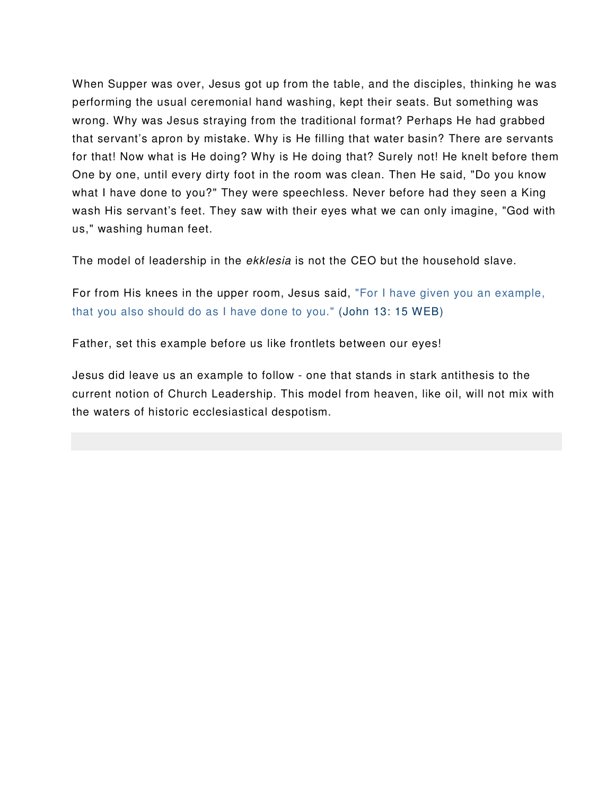When Supper was over, Jesus got up from the table, and the disciples, thinking he was performing the usual ceremonial hand washing, kept their seats. But something was wrong. Why was Jesus straying from the traditional format? Perhaps He had grabbed that servant's apron by mistake. Why is He filling that water basin? There are servants for that! Now what is He doing? Why is He doing that? Surely not! He knelt before them One by one, until every dirty foot in the room was clean. Then He said, "Do you know what I have done to you?" They were speechless. Never before had they seen a King wash His servant's feet. They saw with their eyes what we can only imagine, "God with us," washing human feet.

The model of leadership in the *ekklesia* is not the CEO but the household slave.

For from His knees in the upper room, Jesus said, "For I have given you an example, that you also should do as I have done to you." (John 13: 15 WEB)

Father, set this example before us like frontlets between our eyes!

Jesus did leave us an example to follow - one that stands in stark antithesis to the current notion of Church Leadership. This model from heaven, like oil, will not mix with the waters of historic ecclesiastical despotism.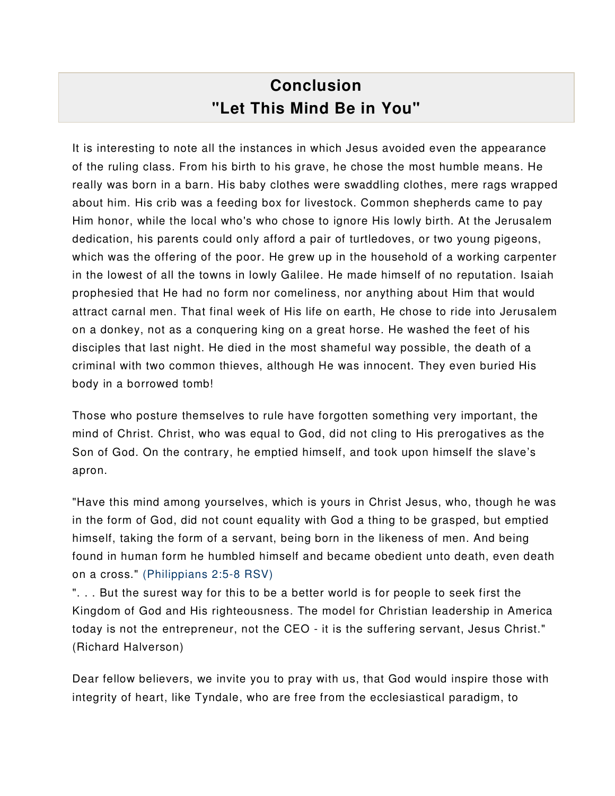# **Conclusion "Let This Mind Be in You"**

It is interesting to note all the instances in which Jesus avoided even the appearance of the ruling class. From his birth to his grave, he chose the most humble means. He really was born in a barn. His baby clothes were swaddling clothes, mere rags wrapped about him. His crib was a feeding box for livestock. Common shepherds came to pay Him honor, while the local who's who chose to ignore His lowly birth. At the Jerusalem dedication, his parents could only afford a pair of turtledoves, or two young pigeons, which was the offering of the poor. He grew up in the household of a working carpenter in the lowest of all the towns in lowly Galilee. He made himself of no reputation. Isaiah prophesied that He had no form nor comeliness, nor anything about Him that would attract carnal men. That final week of His life on earth, He chose to ride into Jerusalem on a donkey, not as a conquering king on a great horse. He washed the feet of his disciples that last night. He died in the most shameful way possible, the death of a criminal with two common thieves, although He was innocent. They even buried His body in a borrowed tomb!

Those who posture themselves to rule have forgotten something very important, the mind of Christ. Christ, who was equal to God, did not cling to His prerogatives as the Son of God. On the contrary, he emptied himself, and took upon himself the slave's apron.

"Have this mind among yourselves, which is yours in Christ Jesus, who, though he was in the form of God, did not count equality with God a thing to be grasped, but emptied himself, taking the form of a servant, being born in the likeness of men. And being found in human form he humbled himself and became obedient unto death, even death on a cross." (Philippians 2:5-8 RSV)

". . . But the surest way for this to be a better world is for people to seek first the Kingdom of God and His righteousness. The model for Christian leadership in America today is not the entrepreneur, not the CEO - it is the suffering servant, Jesus Christ." (Richard Halverson)

Dear fellow believers, we invite you to pray with us, that God would inspire those with integrity of heart, like Tyndale, who are free from the ecclesiastical paradigm, to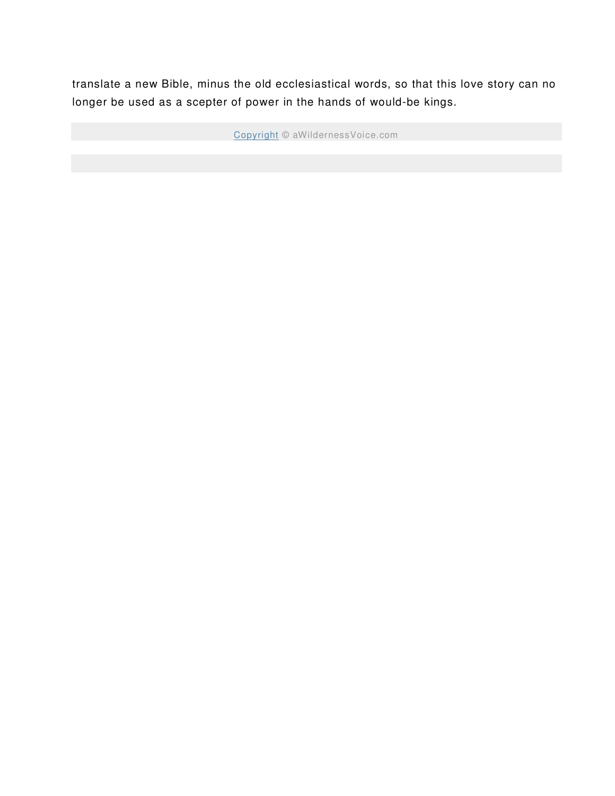translate a new Bible, minus the old ecclesiastical words, so that this love story can no longer be used as a scepter of power in the hands of would-be kings.

Copyright © aWildernessVoice.com